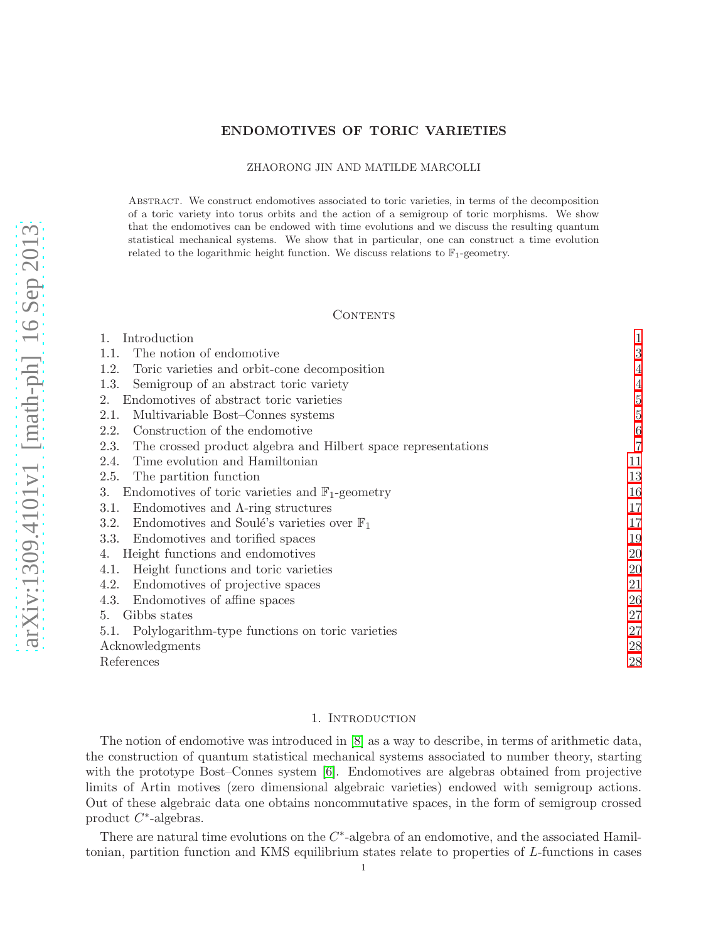# ENDOMOTIVES OF TORIC VARIETIES

### ZHAORONG JIN AND MATILDE MARCOLLI

Abstract. We construct endomotives associated to toric varieties, in terms of the decomposition of a toric variety into torus orbits and the action of a semigroup of toric morphisms. We show that the endomotives can be endowed with time evolutions and we discuss the resulting quantum statistical mechanical systems. We show that in particular, one can construct a time evolution related to the logarithmic height function. We discuss relations to  $\mathbb{F}_1$ -geometry.

### **CONTENTS**

| Introduction                                                          |                  |
|-----------------------------------------------------------------------|------------------|
| The notion of endomotive<br>1.1.                                      | 3                |
| 1.2.<br>Toric varieties and orbit-cone decomposition                  | 4                |
| Semigroup of an abstract toric variety<br>1.3.                        | 4                |
| Endomotives of abstract toric varieties<br>2.                         | 5                |
| Multivariable Bost-Connes systems<br>2.1.                             | 5                |
| Construction of the endomotive<br>2.2.                                | $\boldsymbol{6}$ |
| The crossed product algebra and Hilbert space representations<br>2.3. | 7                |
| Time evolution and Hamiltonian<br>2.4.                                | 11               |
| The partition function<br>2.5.                                        | 13               |
| Endomotives of toric varieties and $\mathbb{F}_1$ -geometry<br>3.     | 16               |
| Endomotives and $\Lambda$ -ring structures<br>3.1.                    | 17               |
| Endomotives and Soulé's varieties over $\mathbb{F}_1$<br>3.2.         | 17               |
| Endomotives and torified spaces<br>3.3.                               | 19               |
| Height functions and endomotives<br>4.                                | 20               |
| Height functions and toric varieties<br>4.1.                          | 20               |
| Endomotives of projective spaces<br>4.2.                              | 21               |
| Endomotives of affine spaces<br>4.3.                                  | 26               |
| Gibbs states<br>5.                                                    | 27               |
| Polylogarithm-type functions on toric varieties<br>5.1.               | 27               |
| Acknowledgments                                                       | 28               |
| References                                                            | 28               |

#### 1. Introduction

<span id="page-0-0"></span>The notion of endomotive was introduced in [\[8\]](#page-27-2) as a way to describe, in terms of arithmetic data, the construction of quantum statistical mechanical systems associated to number theory, starting with the prototype Bost–Connes system [\[6\]](#page-27-3). Endomotives are algebras obtained from projective limits of Artin motives (zero dimensional algebraic varieties) endowed with semigroup actions. Out of these algebraic data one obtains noncommutative spaces, in the form of semigroup crossed product  $C^*$ -algebras.

There are natural time evolutions on the  $C^*$ -algebra of an endomotive, and the associated Hamiltonian, partition function and KMS equilibrium states relate to properties of L-functions in cases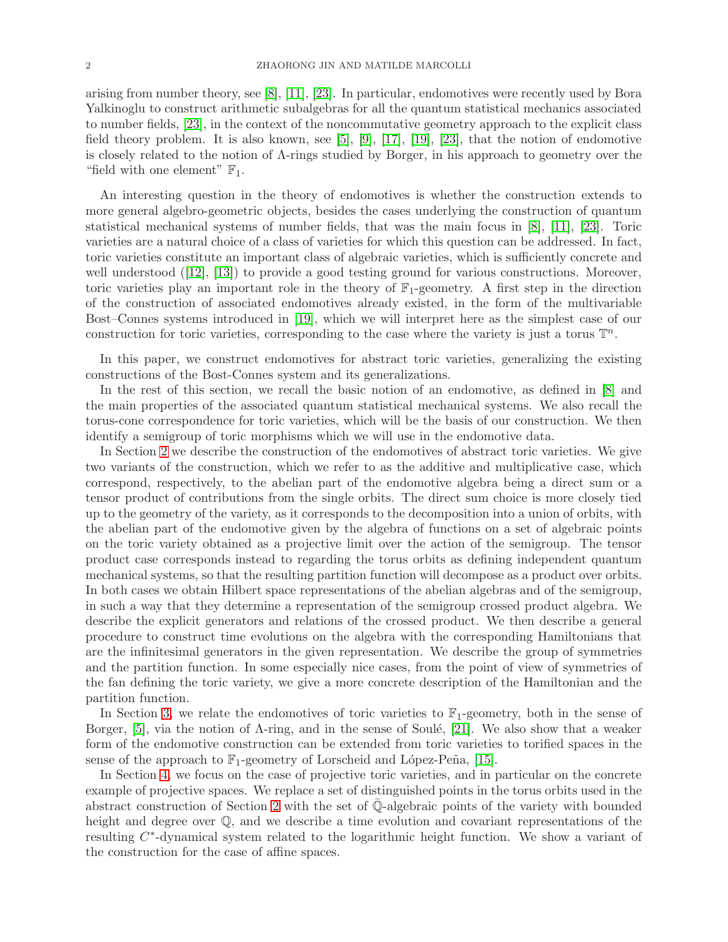arising from number theory, see [\[8\]](#page-27-2), [\[11\]](#page-27-4), [\[23\]](#page-28-0). In particular, endomotives were recently used by Bora Yalkinoglu to construct arithmetic subalgebras for all the quantum statistical mechanics associated to number fields, [\[23\]](#page-28-0), in the context of the noncommutative geometry approach to the explicit class field theory problem. It is also known, see [\[5\]](#page-27-5), [\[9\]](#page-27-6), [\[17\]](#page-28-1), [\[19\]](#page-28-2), [\[23\]](#page-28-0), that the notion of endomotive is closely related to the notion of Λ-rings studied by Borger, in his approach to geometry over the "field with one element"  $\mathbb{F}_1$ .

An interesting question in the theory of endomotives is whether the construction extends to more general algebro-geometric objects, besides the cases underlying the construction of quantum statistical mechanical systems of number fields, that was the main focus in [\[8\]](#page-27-2), [\[11\]](#page-27-4), [\[23\]](#page-28-0). Toric varieties are a natural choice of a class of varieties for which this question can be addressed. In fact, toric varieties constitute an important class of algebraic varieties, which is sufficiently concrete and well understood ([\[12\]](#page-27-7), [\[13\]](#page-27-8)) to provide a good testing ground for various constructions. Moreover, toric varieties play an important role in the theory of  $\mathbb{F}_1$ -geometry. A first step in the direction of the construction of associated endomotives already existed, in the form of the multivariable Bost–Connes systems introduced in [\[19\]](#page-28-2), which we will interpret here as the simplest case of our construction for toric varieties, corresponding to the case where the variety is just a torus  $\mathbb{T}^n$ .

In this paper, we construct endomotives for abstract toric varieties, generalizing the existing constructions of the Bost-Connes system and its generalizations.

In the rest of this section, we recall the basic notion of an endomotive, as defined in [\[8\]](#page-27-2) and the main properties of the associated quantum statistical mechanical systems. We also recall the torus-cone correspondence for toric varieties, which will be the basis of our construction. We then identify a semigroup of toric morphisms which we will use in the endomotive data.

In Section [2](#page-4-0) we describe the construction of the endomotives of abstract toric varieties. We give two variants of the construction, which we refer to as the additive and multiplicative case, which correspond, respectively, to the abelian part of the endomotive algebra being a direct sum or a tensor product of contributions from the single orbits. The direct sum choice is more closely tied up to the geometry of the variety, as it corresponds to the decomposition into a union of orbits, with the abelian part of the endomotive given by the algebra of functions on a set of algebraic points on the toric variety obtained as a projective limit over the action of the semigroup. The tensor product case corresponds instead to regarding the torus orbits as defining independent quantum mechanical systems, so that the resulting partition function will decompose as a product over orbits. In both cases we obtain Hilbert space representations of the abelian algebras and of the semigroup, in such a way that they determine a representation of the semigroup crossed product algebra. We describe the explicit generators and relations of the crossed product. We then describe a general procedure to construct time evolutions on the algebra with the corresponding Hamiltonians that are the infinitesimal generators in the given representation. We describe the group of symmetries and the partition function. In some especially nice cases, from the point of view of symmetries of the fan defining the toric variety, we give a more concrete description of the Hamiltonian and the partition function.

In Section [3,](#page-15-0) we relate the endomotives of toric varieties to  $\mathbb{F}_1$ -geometry, both in the sense of Borger, [\[5\]](#page-27-5), via the notion of  $\Lambda$ -ring, and in the sense of Soulé, [\[21\]](#page-28-3). We also show that a weaker form of the endomotive construction can be extended from toric varieties to torified spaces in the sense of the approach to  $\mathbb{F}_1$ -geometry of Lorscheid and López-Peña, [\[15\]](#page-28-4).

In Section [4,](#page-19-0) we focus on the case of projective toric varieties, and in particular on the concrete example of projective spaces. We replace a set of distinguished points in the torus orbits used in the abstract construction of Section [2](#page-4-0) with the set of  $\mathbb{Q}$ -algebraic points of the variety with bounded height and degree over Q, and we describe a time evolution and covariant representations of the resulting C<sup>\*</sup>-dynamical system related to the logarithmic height function. We show a variant of the construction for the case of affine spaces.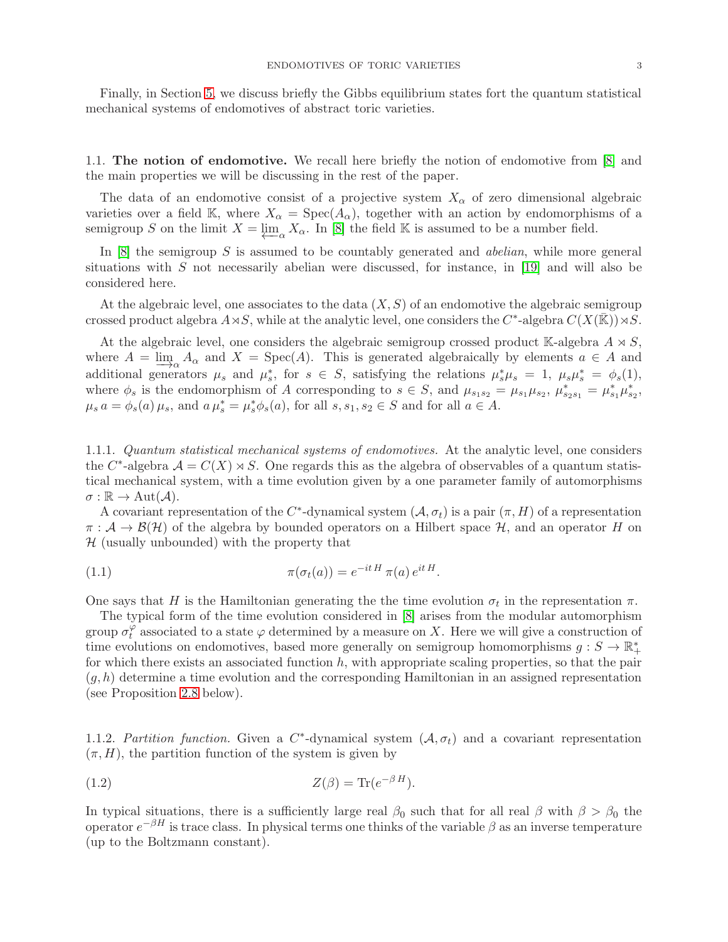Finally, in Section [5,](#page-26-0) we discuss briefly the Gibbs equilibrium states fort the quantum statistical mechanical systems of endomotives of abstract toric varieties.

<span id="page-2-0"></span>1.1. The notion of endomotive. We recall here briefly the notion of endomotive from [\[8\]](#page-27-2) and the main properties we will be discussing in the rest of the paper.

The data of an endomotive consist of a projective system  $X_{\alpha}$  of zero dimensional algebraic varieties over a field K, where  $X_{\alpha} = \text{Spec}(A_{\alpha})$ , together with an action by endomorphisms of a semigroup S on the limit  $X = \varprojlim_{\alpha} X_{\alpha}$ . In [\[8\]](#page-27-2) the field K is assumed to be a number field.

In  $[8]$  the semigroup S is assumed to be countably generated and *abelian*, while more general situations with  $S$  not necessarily abelian were discussed, for instance, in [\[19\]](#page-28-2) and will also be considered here.

At the algebraic level, one associates to the data  $(X, S)$  of an endomotive the algebraic semigroup crossed product algebra  $A \rtimes S$ , while at the analytic level, one considers the  $C^*$ -algebra  $C(X(\overline{\mathbb{R}})) \rtimes S$ .

At the algebraic level, one considers the algebraic semigroup crossed product K-algebra  $A \rtimes S$ , where  $A = \underline{\lim}_{\alpha} A_{\alpha}$  and  $X = \text{Spec}(A)$ . This is generated algebraically by elements  $a \in A$  and additional generators  $\mu_s$  and  $\mu_s^*$ , for  $s \in S$ , satisfying the relations  $\mu_s^* \mu_s = 1$ ,  $\mu_s \mu_s^* = \phi_s(1)$ , where  $\phi_s$  is the endomorphism of A corresponding to  $s \in S$ , and  $\mu_{s_1s_2} = \mu_{s_1}\mu_{s_2}, \mu_{s_2s_1}^* = \mu_{s_1}^*\mu_{s_2}^*$  $\mu_s a = \phi_s(a)\,\mu_s$ , and  $a\,\mu_s^* = \mu_s^* \phi_s(a)$ , for all  $s, s_1, s_2 \in S$  and for all  $a \in A$ .

1.1.1. Quantum statistical mechanical systems of endomotives. At the analytic level, one considers the  $C^*$ -algebra  $\mathcal{A} = C(X) \rtimes S$ . One regards this as the algebra of observables of a quantum statistical mechanical system, with a time evolution given by a one parameter family of automorphisms  $\sigma : \mathbb{R} \to \text{Aut}(\mathcal{A}).$ 

A covariant representation of the  $C^*$ -dynamical system  $(A, \sigma_t)$  is a pair  $(\pi, H)$  of a representation  $\pi : A \to B(H)$  of the algebra by bounded operators on a Hilbert space H, and an operator H on  $H$  (usually unbounded) with the property that

(1.1) 
$$
\pi(\sigma_t(a)) = e^{-itH} \pi(a) e^{itH}.
$$

One says that H is the Hamiltonian generating the the time evolution  $\sigma_t$  in the representation  $\pi$ .

The typical form of the time evolution considered in [\[8\]](#page-27-2) arises from the modular automorphism group  $\sigma_t^{\check\varphi}$  $_t^{\varphi}$  associated to a state  $\varphi$  determined by a measure on X. Here we will give a construction of time evolutions on endomotives, based more generally on semigroup homomorphisms  $g: S \to \mathbb{R}^*_+$ for which there exists an associated function  $h$ , with appropriate scaling properties, so that the pair  $(q, h)$  determine a time evolution and the corresponding Hamiltonian in an assigned representation (see Proposition [2.8](#page-10-1) below).

1.1.2. Partition function. Given a  $C^*$ -dynamical system  $(\mathcal{A}, \sigma_t)$  and a covariant representation  $(\pi, H)$ , the partition function of the system is given by

$$
Z(\beta) = \text{Tr}(e^{-\beta H}).
$$

In typical situations, there is a sufficiently large real  $\beta_0$  such that for all real  $\beta$  with  $\beta > \beta_0$  the operator  $e^{-\beta H}$  is trace class. In physical terms one thinks of the variable  $\beta$  as an inverse temperature (up to the Boltzmann constant).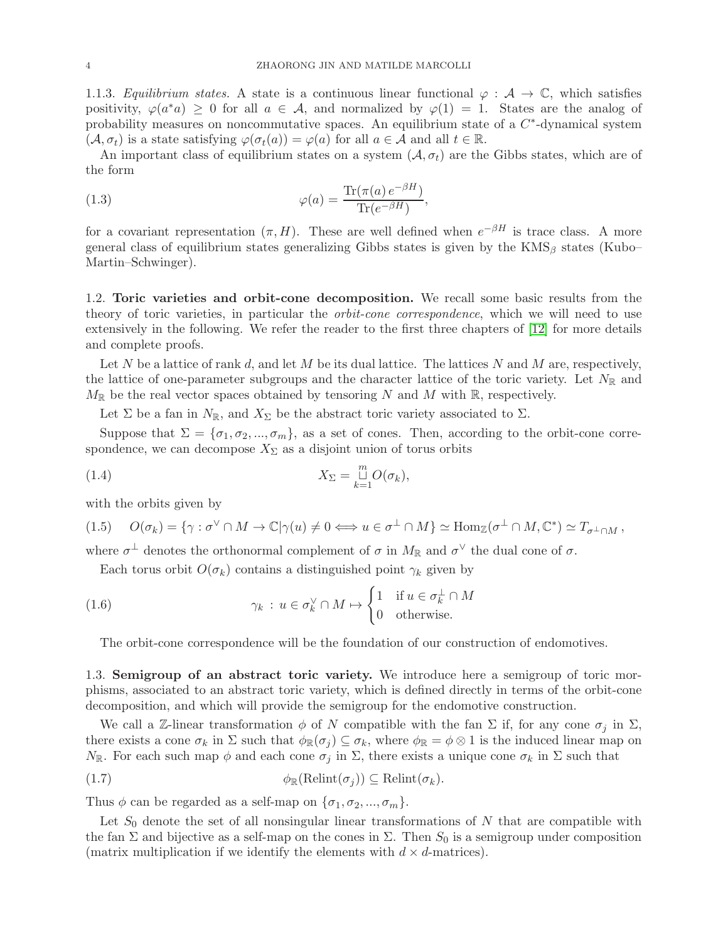1.1.3. Equilibrium states. A state is a continuous linear functional  $\varphi : A \to \mathbb{C}$ , which satisfies positivity,  $\varphi(a^*a) \geq 0$  for all  $a \in \mathcal{A}$ , and normalized by  $\varphi(1) = 1$ . States are the analog of probability measures on noncommutative spaces. An equilibrium state of a  $C^*$ -dynamical system  $(\mathcal{A}, \sigma_t)$  is a state satisfying  $\varphi(\sigma_t(a)) = \varphi(a)$  for all  $a \in \mathcal{A}$  and all  $t \in \mathbb{R}$ .

An important class of equilibrium states on a system  $(A, \sigma_t)$  are the Gibbs states, which are of the form

(1.3) 
$$
\varphi(a) = \frac{\text{Tr}(\pi(a) e^{-\beta H})}{\text{Tr}(e^{-\beta H})},
$$

for a covariant representation  $(\pi, H)$ . These are well defined when  $e^{-\beta H}$  is trace class. A more general class of equilibrium states generalizing Gibbs states is given by the  $KMS_\beta$  states (Kubo– Martin–Schwinger).

<span id="page-3-0"></span>1.2. Toric varieties and orbit-cone decomposition. We recall some basic results from the theory of toric varieties, in particular the orbit-cone correspondence, which we will need to use extensively in the following. We refer the reader to the first three chapters of [\[12\]](#page-27-7) for more details and complete proofs.

Let N be a lattice of rank d, and let M be its dual lattice. The lattices N and M are, respectively, the lattice of one-parameter subgroups and the character lattice of the toric variety. Let  $N_{\mathbb{R}}$  and  $M_{\mathbb{R}}$  be the real vector spaces obtained by tensoring N and M with  $\mathbb{R}$ , respectively.

Let  $\Sigma$  be a fan in  $N_{\mathbb{R}}$ , and  $X_{\Sigma}$  be the abstract toric variety associated to  $\Sigma$ .

Suppose that  $\Sigma = {\sigma_1, \sigma_2, ..., \sigma_m}$ , as a set of cones. Then, according to the orbit-cone correspondence, we can decompose  $X_{\Sigma}$  as a disjoint union of torus orbits

(1.4) 
$$
X_{\Sigma} = \bigcup_{k=1}^{m} O(\sigma_k),
$$

with the orbits given by

$$
(1.5) \quad O(\sigma_k) = \{ \gamma : \sigma^{\vee} \cap M \to \mathbb{C} | \gamma(u) \neq 0 \Longleftrightarrow u \in \sigma^{\perp} \cap M \} \simeq \text{Hom}_{\mathbb{Z}}(\sigma^{\perp} \cap M, \mathbb{C}^*) \simeq T_{\sigma^{\perp} \cap M},
$$

where  $\sigma^{\perp}$  denotes the orthonormal complement of  $\sigma$  in  $M_{\mathbb{R}}$  and  $\sigma^{\vee}$  the dual cone of  $\sigma$ .

Each torus orbit  $O(\sigma_k)$  contains a distinguished point  $\gamma_k$  given by

(1.6) 
$$
\gamma_k : u \in \sigma_k^{\vee} \cap M \mapsto \begin{cases} 1 & \text{if } u \in \sigma_k^{\perp} \cap M \\ 0 & \text{otherwise.} \end{cases}
$$

<span id="page-3-2"></span>The orbit-cone correspondence will be the foundation of our construction of endomotives.

<span id="page-3-1"></span>1.3. Semigroup of an abstract toric variety. We introduce here a semigroup of toric morphisms, associated to an abstract toric variety, which is defined directly in terms of the orbit-cone decomposition, and which will provide the semigroup for the endomotive construction.

We call a Z-linear transformation  $\phi$  of N compatible with the fan  $\Sigma$  if, for any cone  $\sigma_j$  in  $\Sigma$ , there exists a cone  $\sigma_k$  in  $\Sigma$  such that  $\phi_{\mathbb{R}}(\sigma_j) \subseteq \sigma_k$ , where  $\phi_{\mathbb{R}} = \phi \otimes 1$  is the induced linear map on  $N_{\mathbb{R}}$ . For each such map  $\phi$  and each cone  $\sigma_j$  in  $\Sigma$ , there exists a unique cone  $\sigma_k$  in  $\Sigma$  such that

(1.7) 
$$
\phi_{\mathbb{R}}(\mathrm{Relint}(\sigma_j)) \subseteq \mathrm{Relint}(\sigma_k).
$$

Thus  $\phi$  can be regarded as a self-map on  $\{\sigma_1, \sigma_2, ..., \sigma_m\}.$ 

Let  $S_0$  denote the set of all nonsingular linear transformations of N that are compatible with the fan  $\Sigma$  and bijective as a self-map on the cones in  $\Sigma$ . Then  $S_0$  is a semigroup under composition (matrix multiplication if we identify the elements with  $d \times d$ -matrices).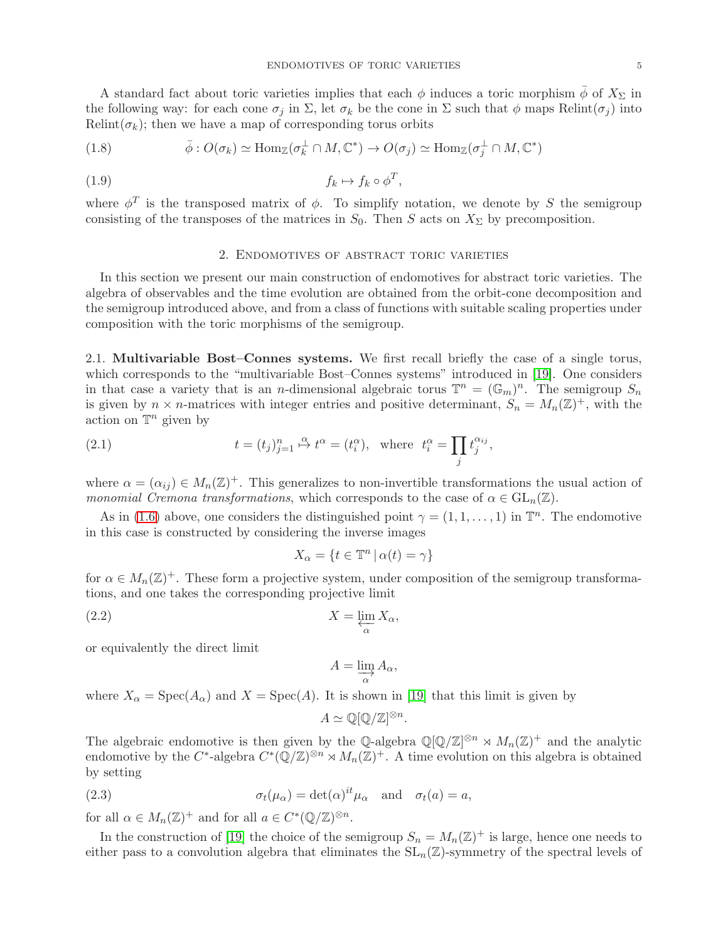A standard fact about toric varieties implies that each  $\phi$  induces a toric morphism  $\bar{\phi}$  of  $X_{\Sigma}$  in the following way: for each cone  $\sigma_j$  in  $\Sigma$ , let  $\sigma_k$  be the cone in  $\Sigma$  such that  $\phi$  maps Relint( $\sigma_j$ ) into Relint( $\sigma_k$ ); then we have a map of corresponding torus orbits

<span id="page-4-4"></span>(1.8) 
$$
\bar{\phi}: O(\sigma_k) \simeq \text{Hom}_{\mathbb{Z}}(\sigma_k^{\perp} \cap M, \mathbb{C}^*) \to O(\sigma_j) \simeq \text{Hom}_{\mathbb{Z}}(\sigma_j^{\perp} \cap M, \mathbb{C}^*)
$$

$$
(1.9) \t\t f_k \mapsto f_k \circ \phi^T,
$$

<span id="page-4-0"></span>where  $\phi^T$  is the transposed matrix of  $\phi$ . To simplify notation, we denote by S the semigroup consisting of the transposes of the matrices in  $S_0$ . Then S acts on  $X_{\Sigma}$  by precomposition.

## 2. Endomotives of abstract toric varieties

In this section we present our main construction of endomotives for abstract toric varieties. The algebra of observables and the time evolution are obtained from the orbit-cone decomposition and the semigroup introduced above, and from a class of functions with suitable scaling properties under composition with the toric morphisms of the semigroup.

<span id="page-4-1"></span>2.1. Multivariable Bost–Connes systems. We first recall briefly the case of a single torus, which corresponds to the "multivariable Bost–Connes systems" introduced in [\[19\]](#page-28-2). One considers in that case a variety that is an *n*-dimensional algebraic torus  $\mathbb{T}^n = (\mathbb{G}_m)^n$ . The semigroup  $S_n$ is given by  $n \times n$ -matrices with integer entries and positive determinant,  $S_n = M_n(\mathbb{Z})^+$ , with the action on  $\mathbb{T}^n$  given by

(2.1) 
$$
t = (t_j)_{j=1}^n \stackrel{\alpha}{\mapsto} t^{\alpha} = (t_i^{\alpha}), \text{ where } t_i^{\alpha} = \prod_j t_j^{\alpha_{ij}},
$$

where  $\alpha = (\alpha_{ij}) \in M_n(\mathbb{Z})^+$ . This generalizes to non-invertible transformations the usual action of monomial Cremona transformations, which corresponds to the case of  $\alpha \in GL_n(\mathbb{Z})$ .

As in [\(1.6\)](#page-3-2) above, one considers the distinguished point  $\gamma = (1, 1, \dots, 1)$  in  $\mathbb{T}^n$ . The endomotive in this case is constructed by considering the inverse images

$$
X_{\alpha} = \{ t \in \mathbb{T}^n \, | \, \alpha(t) = \gamma \}
$$

for  $\alpha \in M_n(\mathbb{Z})^+$ . These form a projective system, under composition of the semigroup transformations, and one takes the corresponding projective limit

$$
X = \varprojlim_{\alpha} X_{\alpha},
$$

or equivalently the direct limit

<span id="page-4-2"></span>
$$
A = \varinjlim_{\alpha} A_{\alpha},
$$

where  $X_{\alpha} = \text{Spec}(A_{\alpha})$  and  $X = \text{Spec}(A)$ . It is shown in [\[19\]](#page-28-2) that this limit is given by

<span id="page-4-3"></span>
$$
A \simeq \mathbb{Q}[\mathbb{Q}/\mathbb{Z}]^{\otimes n}.
$$

The algebraic endomotive is then given by the Q-algebra  $\mathbb{Q}[\mathbb{Q}/\mathbb{Z}]^{\otimes n} \rtimes M_n(\mathbb{Z})^+$  and the analytic endomotive by the C<sup>\*</sup>-algebra  $C^*(\mathbb{Q}/\mathbb{Z})^{\otimes n} \rtimes M_n(\mathbb{Z})^+$ . A time evolution on this algebra is obtained by setting

(2.3) 
$$
\sigma_t(\mu_\alpha) = \det(\alpha)^{it} \mu_\alpha \text{ and } \sigma_t(a) = a,
$$

for all  $\alpha \in M_n(\mathbb{Z})^+$  and for all  $a \in C^*(\mathbb{Q}/\mathbb{Z})^{\otimes n}$ .

In the construction of [\[19\]](#page-28-2) the choice of the semigroup  $S_n = M_n(\mathbb{Z})^+$  is large, hence one needs to either pass to a convolution algebra that eliminates the  $SL_n(\mathbb{Z})$ -symmetry of the spectral levels of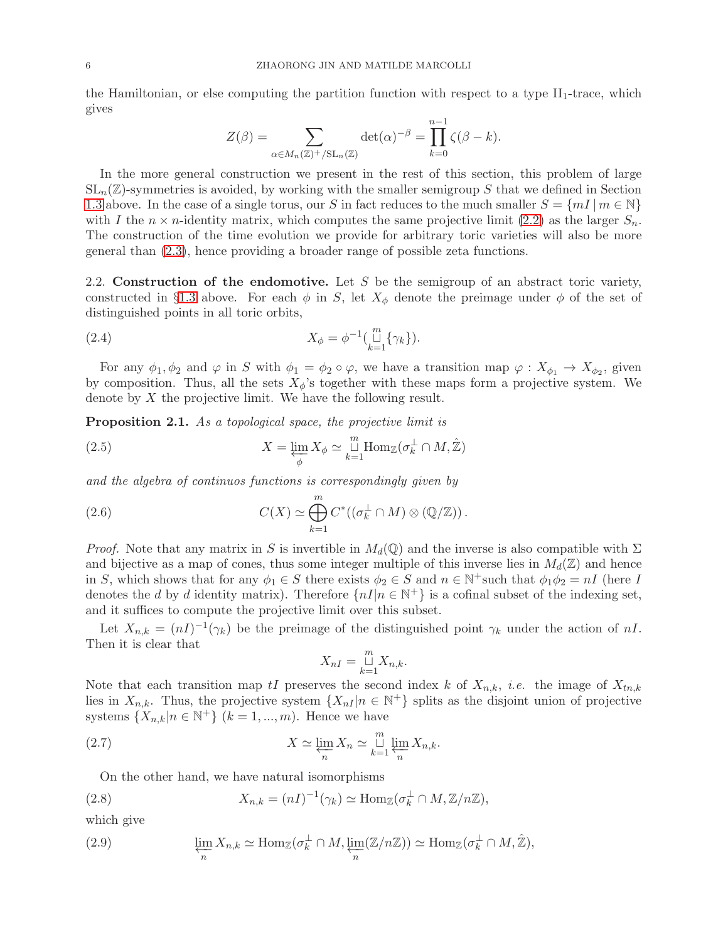the Hamiltonian, or else computing the partition function with respect to a type  $II_1$ -trace, which gives

$$
Z(\beta) = \sum_{\alpha \in M_n(\mathbb{Z})^+/\mathrm{SL}_n(\mathbb{Z})} \det(\alpha)^{-\beta} = \prod_{k=0}^{n-1} \zeta(\beta - k).
$$

In the more general construction we present in the rest of this section, this problem of large  $SL_n(\mathbb{Z})$ -symmetries is avoided, by working with the smaller semigroup S that we defined in Section [1.3](#page-3-1) above. In the case of a single torus, our S in fact reduces to the much smaller  $S = \{mI | m \in \mathbb{N}\}\$ with I the  $n \times n$ -identity matrix, which computes the same projective limit [\(2.2\)](#page-4-2) as the larger  $S_n$ . The construction of the time evolution we provide for arbitrary toric varieties will also be more general than [\(2.3\)](#page-4-3), hence providing a broader range of possible zeta functions.

<span id="page-5-0"></span>2.2. Construction of the endomotive. Let S be the semigroup of an abstract toric variety, constructed in §[1.3](#page-3-1) above. For each  $\phi$  in S, let  $X_{\phi}$  denote the preimage under  $\phi$  of the set of distinguished points in all toric orbits,

(2.4) 
$$
X_{\phi} = \phi^{-1}(\mathop{\sqcup}\limits_{k=1}^{m} \{\gamma_k\}).
$$

For any  $\phi_1, \phi_2$  and  $\varphi$  in S with  $\phi_1 = \phi_2 \circ \varphi$ , we have a transition map  $\varphi: X_{\phi_1} \to X_{\phi_2}$ , given by composition. Thus, all the sets  $X_{\phi}$ 's together with these maps form a projective system. We denote by X the projective limit. We have the following result.

<span id="page-5-1"></span>**Proposition 2.1.** As a topological space, the projective limit is

<span id="page-5-2"></span>(2.5) 
$$
X = \varprojlim_{\phi} X_{\phi} \simeq \mathop{\sqcup}\limits_{k=1}^{m} \text{Hom}_{\mathbb{Z}}(\sigma_{k}^{\perp} \cap M, \hat{\mathbb{Z}})
$$

and the algebra of continuos functions is correspondingly given by

(2.6) 
$$
C(X) \simeq \bigoplus_{k=1}^{m} C^{*}((\sigma_{k}^{\perp} \cap M) \otimes (\mathbb{Q}/\mathbb{Z})).
$$

*Proof.* Note that any matrix in S is invertible in  $M_d(\mathbb{Q})$  and the inverse is also compatible with  $\Sigma$ and bijective as a map of cones, thus some integer multiple of this inverse lies in  $M_d(\mathbb{Z})$  and hence in S, which shows that for any  $\phi_1 \in S$  there exists  $\phi_2 \in S$  and  $n \in \mathbb{N}^+$  such that  $\phi_1 \phi_2 = nI$  (here I denotes the d by d identity matrix). Therefore  $\{nI|n \in \mathbb{N}^+\}$  is a cofinal subset of the indexing set, and it suffices to compute the projective limit over this subset.

Let  $X_{n,k} = (nI)^{-1}(\gamma_k)$  be the preimage of the distinguished point  $\gamma_k$  under the action of nI. Then it is clear that

$$
X_{nI} = \bigcup_{k=1}^{m} X_{n,k}.
$$

Note that each transition map tI preserves the second index k of  $X_{n,k}$ , *i.e.* the image of  $X_{tn,k}$ lies in  $X_{n,k}$ . Thus, the projective system  $\{X_{nI} | n \in \mathbb{N}^+\}$  splits as the disjoint union of projective systems  $\{X_{n,k}|n \in \mathbb{N}^+\}$   $(k = 1, ..., m)$ . Hence we have

(2.7) 
$$
X \simeq \varprojlim_{n} X_{n} \simeq \bigcup_{k=1}^{m} \varprojlim_{n} X_{n,k}.
$$

On the other hand, we have natural isomorphisms

(2.8) 
$$
X_{n,k} = (nI)^{-1}(\gamma_k) \simeq \text{Hom}_{\mathbb{Z}}(\sigma_k^{\perp} \cap M, \mathbb{Z}/n\mathbb{Z}),
$$

which give

(2.9) 
$$
\varprojlim_{n} X_{n,k} \simeq \text{Hom}_{\mathbb{Z}}(\sigma_{k}^{\perp} \cap M, \varprojlim_{n} (\mathbb{Z}/n\mathbb{Z})) \simeq \text{Hom}_{\mathbb{Z}}(\sigma_{k}^{\perp} \cap M, \hat{\mathbb{Z}}),
$$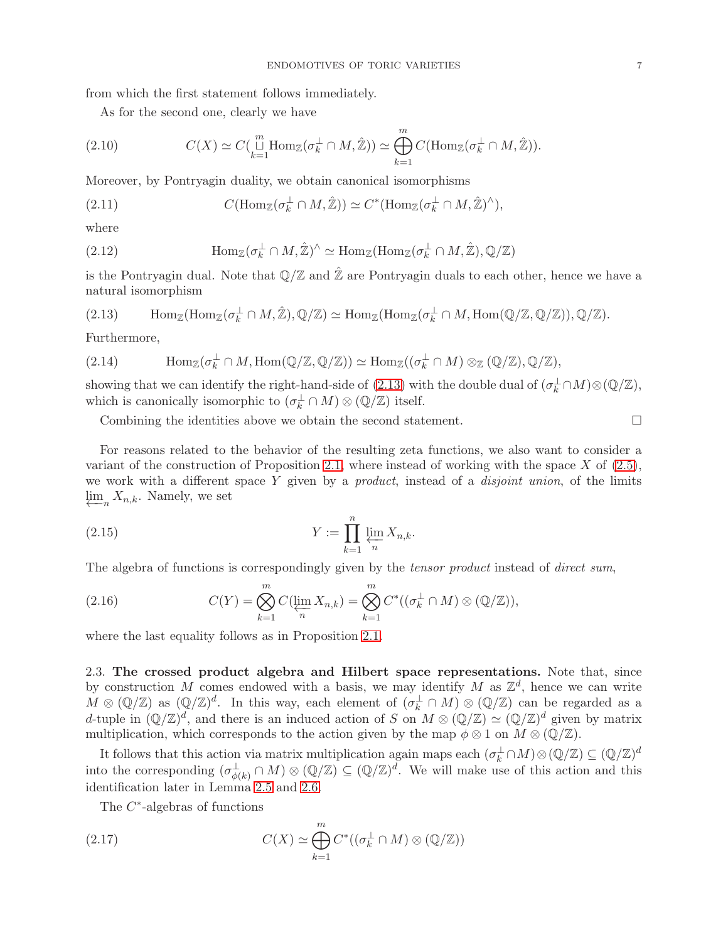from which the first statement follows immediately.

As for the second one, clearly we have

(2.10) 
$$
C(X) \simeq C\left(\mathop{\sqcup}\limits_{k=1}^{m} \text{Hom}_{\mathbb{Z}}(\sigma_k^{\perp} \cap M, \hat{\mathbb{Z}})\right) \simeq \bigoplus_{k=1}^{m} C(\text{Hom}_{\mathbb{Z}}(\sigma_k^{\perp} \cap M, \hat{\mathbb{Z}})).
$$

Moreover, by Pontryagin duality, we obtain canonical isomorphisms

(2.11) 
$$
C(\text{Hom}_{\mathbb{Z}}(\sigma_k^{\perp} \cap M, \hat{\mathbb{Z}})) \simeq C^*(\text{Hom}_{\mathbb{Z}}(\sigma_k^{\perp} \cap M, \hat{\mathbb{Z}})^{\wedge}),
$$

where

(2.12) 
$$
\text{Hom}_{\mathbb{Z}}(\sigma_k^{\perp} \cap M, \hat{\mathbb{Z}})^{\wedge} \simeq \text{Hom}_{\mathbb{Z}}(\text{Hom}_{\mathbb{Z}}(\sigma_k^{\perp} \cap M, \hat{\mathbb{Z}}), \mathbb{Q}/\mathbb{Z})
$$

is the Pontryagin dual. Note that  $\mathbb{Q}/\mathbb{Z}$  and  $\hat{\mathbb{Z}}$  are Pontryagin duals to each other, hence we have a natural isomorphism

<span id="page-6-1"></span>(2.13) 
$$
\text{Hom}_{\mathbb{Z}}(\text{Hom}_{\mathbb{Z}}(\sigma_k^{\perp} \cap M, \hat{\mathbb{Z}}), \mathbb{Q}/\mathbb{Z}) \simeq \text{Hom}_{\mathbb{Z}}(\text{Hom}_{\mathbb{Z}}(\sigma_k^{\perp} \cap M, \text{Hom}(\mathbb{Q}/\mathbb{Z}, \mathbb{Q}/\mathbb{Z})), \mathbb{Q}/\mathbb{Z}).
$$

Furthermore,

(2.14) 
$$
\text{Hom}_{\mathbb{Z}}(\sigma_k^{\perp} \cap M, \text{Hom}(\mathbb{Q}/\mathbb{Z}, \mathbb{Q}/\mathbb{Z})) \simeq \text{Hom}_{\mathbb{Z}}((\sigma_k^{\perp} \cap M) \otimes_{\mathbb{Z}} (\mathbb{Q}/\mathbb{Z}), \mathbb{Q}/\mathbb{Z}),
$$

showing that we can identify the right-hand-side of [\(2.13\)](#page-6-1) with the double dual of  $(\sigma_k^{\perp} \cap M) \otimes (\mathbb{Q}/\mathbb{Z})$ , which is canonically isomorphic to  $(\sigma_k^{\perp} \cap M) \otimes (\mathbb{Q}/\mathbb{Z})$  itself.

Combining the identities above we obtain the second statement.  $\Box$ 

For reasons related to the behavior of the resulting zeta functions, we also want to consider a variant of the construction of Proposition [2.1,](#page-5-1) where instead of working with the space  $X$  of  $(2.5)$ , we work with a different space Y given by a *product*, instead of a *disjoint union*, of the limits  $\varprojlim_n X_{n,k}$ . Namely, we set

(2.15) 
$$
Y := \prod_{k=1}^{n} \varprojlim_{n} X_{n,k}.
$$

The algebra of functions is correspondingly given by the *tensor product* instead of *direct sum*,

(2.16) 
$$
C(Y) = \bigotimes_{k=1}^{m} C(\varprojlim_{n} X_{n,k}) = \bigotimes_{k=1}^{m} C^{*}((\sigma_{k}^{\perp} \cap M) \otimes (\mathbb{Q}/\mathbb{Z})),
$$

where the last equality follows as in Proposition [2.1.](#page-5-1)

<span id="page-6-0"></span>2.3. The crossed product algebra and Hilbert space representations. Note that, since by construction M comes endowed with a basis, we may identify M as  $\mathbb{Z}^d$ , hence we can write  $M \otimes (\mathbb{Q}/\mathbb{Z})$  as  $(\mathbb{Q}/\mathbb{Z})^d$ . In this way, each element of  $(\sigma_k^{\perp} \cap M) \otimes (\mathbb{Q}/\mathbb{Z})$  can be regarded as a d-tuple in  $(\mathbb{Q}/\mathbb{Z})^d$ , and there is an induced action of S on  $M \otimes (\mathbb{Q}/\mathbb{Z}) \simeq (\mathbb{Q}/\mathbb{Z})^d$  given by matrix multiplication, which corresponds to the action given by the map  $\phi \otimes 1$  on  $M \otimes (\mathbb{Q}/\mathbb{Z})$ .

It follows that this action via matrix multiplication again maps each  $(\sigma_k^{\perp} \cap M) \otimes (\mathbb{Q}/\mathbb{Z}) \subseteq (\mathbb{Q}/\mathbb{Z})^d$ into the corresponding  $(\sigma_{\phi}^{\perp})$  $_{\phi(k)}^{\perp} \cap M) \otimes (\mathbb{Q}/\mathbb{Z}) \subseteq (\mathbb{Q}/\mathbb{Z})^d$ . We will make use of this action and this identification later in Lemma [2.5](#page-8-0) and [2.6.](#page-9-0)

<span id="page-6-2"></span>The  $C^*$ -algebras of functions

(2.17) 
$$
C(X) \simeq \bigoplus_{k=1}^{m} C^*((\sigma_k^{\perp} \cap M) \otimes (\mathbb{Q}/\mathbb{Z}))
$$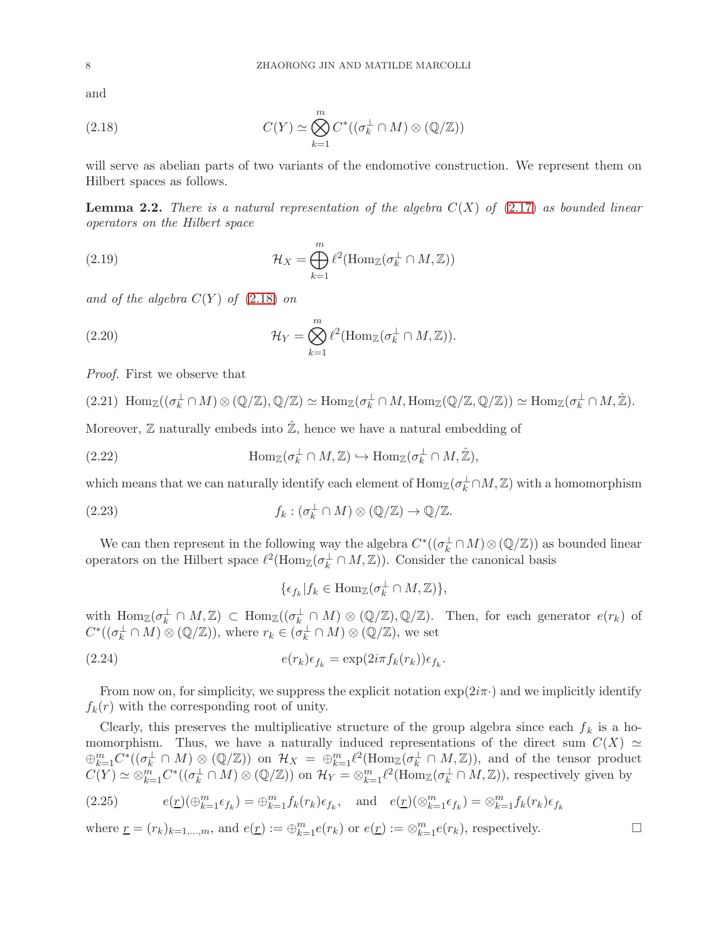and

<span id="page-7-0"></span>(2.18) 
$$
C(Y) \simeq \bigotimes_{k=1}^{m} C^*((\sigma_k^{\perp} \cap M) \otimes (\mathbb{Q}/\mathbb{Z}))
$$

will serve as abelian parts of two variants of the endomotive construction. We represent them on Hilbert spaces as follows.

<span id="page-7-1"></span>**Lemma 2.2.** There is a natural representation of the algebra  $C(X)$  of [\(2.17\)](#page-6-2) as bounded linear operators on the Hilbert space

(2.19) 
$$
\mathcal{H}_X = \bigoplus_{k=1}^m \ell^2(\text{Hom}_{\mathbb{Z}}(\sigma_k^{\perp} \cap M, \mathbb{Z}))
$$

and of the algebra  $C(Y)$  of  $(2.18)$  on

(2.20) 
$$
\mathcal{H}_Y = \bigotimes_{k=1}^m \ell^2(\text{Hom}_{\mathbb{Z}}(\sigma_k^{\perp} \cap M, \mathbb{Z})).
$$

Proof. First we observe that

$$
(2.21)\ \operatorname{Hom}_{\mathbb{Z}}((\sigma_k^{\perp} \cap M) \otimes (\mathbb{Q}/\mathbb{Z}), \mathbb{Q}/\mathbb{Z}) \simeq \operatorname{Hom}_{\mathbb{Z}}(\sigma_k^{\perp} \cap M, \operatorname{Hom}_{\mathbb{Z}}(\mathbb{Q}/\mathbb{Z}, \mathbb{Q}/\mathbb{Z})) \simeq \operatorname{Hom}_{\mathbb{Z}}(\sigma_k^{\perp} \cap M, \hat{\mathbb{Z}}).
$$

Moreover,  $\mathbb Z$  naturally embeds into  $\hat{\mathbb Z}$ , hence we have a natural embedding of

(2.22) 
$$
\text{Hom}_{\mathbb{Z}}(\sigma_k^{\perp} \cap M, \mathbb{Z}) \hookrightarrow \text{Hom}_{\mathbb{Z}}(\sigma_k^{\perp} \cap M, \hat{\mathbb{Z}}),
$$

which means that we can naturally identify each element of  $\text{Hom}_{\mathbb{Z}}(\sigma_k^{\perp} \cap M, \mathbb{Z})$  with a homomorphism

(2.23) 
$$
f_k: (\sigma_k^{\perp} \cap M) \otimes (\mathbb{Q}/\mathbb{Z}) \to \mathbb{Q}/\mathbb{Z}.
$$

We can then represent in the following way the algebra  $C^*((\sigma_k^{\perp} \cap M) \otimes (\mathbb{Q}/\mathbb{Z}))$  as bounded linear operators on the Hilbert space  $\ell^2(\text{Hom}_{\mathbb{Z}}(\sigma_k^{\perp} \cap M, \mathbb{Z}))$ . Consider the canonical basis

$$
\{\epsilon_{f_k}|f_k\in\mathrm{Hom}_{\mathbb{Z}}(\sigma_k^{\perp}\cap M,\mathbb{Z})\},\
$$

with  $\text{Hom}_{\mathbb{Z}}(\sigma_k^{\perp} \cap M, \mathbb{Z}) \subset \text{Hom}_{\mathbb{Z}}((\sigma_k^{\perp} \cap M) \otimes (\mathbb{Q}/\mathbb{Z}), \mathbb{Q}/\mathbb{Z})$ . Then, for each generator  $e(r_k)$  of  $C^*((\sigma_k^{\perp} \cap M) \otimes (\mathbb{Q}/\mathbb{Z}))$ , where  $r_k \in (\sigma_k^{\perp} \cap M) \otimes (\mathbb{Q}/\mathbb{Z})$ , we set

(2.24) 
$$
e(r_k)\epsilon_{f_k} = \exp(2i\pi f_k(r_k))\epsilon_{f_k}.
$$

From now on, for simplicity, we suppress the explicit notation  $\exp(2i\pi \cdot)$  and we implicitly identify  $f_k(r)$  with the corresponding root of unity.

Clearly, this preserves the multiplicative structure of the group algebra since each  $f_k$  is a homomorphism. Thus, we have a naturally induced representations of the direct sum  $C(X) \simeq$  $\bigoplus_{k=1}^m C^*((\sigma_k^{\perp} \cap M) \otimes (\mathbb{Q}/\mathbb{Z}))$  on  $\mathcal{H}_X = \bigoplus_{k=1}^m \ell^2(\text{Hom}_{\mathbb{Z}}(\sigma_k^{\perp} \cap M, \mathbb{Z}))$ , and of the tensor product  $C(Y) \simeq \otimes_{k=1}^m C^*((\sigma_k^{\perp} \cap M) \otimes (\mathbb{Q}/\mathbb{Z}))$  on  $\mathcal{H}_Y = \otimes_{k=1}^m \ell^2(\text{Hom}_{\mathbb{Z}}(\sigma_k^{\perp} \cap M, \mathbb{Z}))$ , respectively given by

(2.25) 
$$
e(\underline{r})(\oplus_{k=1}^{m}\epsilon_{f_k}) = \oplus_{k=1}^{m}f_k(r_k)\epsilon_{f_k}, \text{ and } e(\underline{r})(\otimes_{k=1}^{m}\epsilon_{f_k}) = \otimes_{k=1}^{m}f_k(r_k)\epsilon_{f_k}
$$

where  $\underline{r} = (r_k)_{k=1,\dots,m}$ , and  $e(\underline{r}) := \bigoplus_{k=1}^m e(r_k)$  or  $e(\underline{r}) := \bigotimes_{k=1}^m e(r_k)$ , respectively.

$$
\qquad \qquad \Box
$$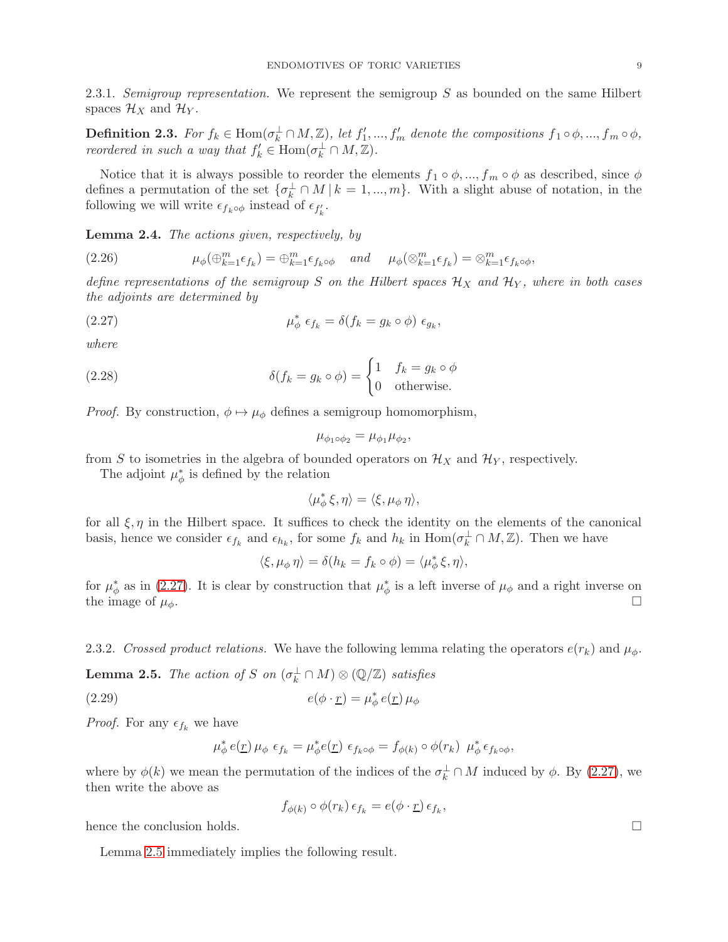2.3.1. Semigroup representation. We represent the semigroup  $S$  as bounded on the same Hilbert spaces  $\mathcal{H}_X$  and  $\mathcal{H}_Y$ .

<span id="page-8-2"></span>**Definition 2.3.** For  $f_k \in \text{Hom}(\sigma_k^{\perp} \cap M, \mathbb{Z})$ , let  $f'_1, ..., f'_m$  denote the compositions  $f_1 \circ \phi, ..., f_m \circ \phi$ , reordered in such a way that  $f'_k \in \text{Hom}(\sigma_k^{\perp} \cap M, \mathbb{Z})$ .

Notice that it is always possible to reorder the elements  $f_1 \circ \phi, ..., f_m \circ \phi$  as described, since  $\phi$ defines a permutation of the set  $\{\sigma_k^{\perp} \cap M \mid k = 1, ..., m\}$ . With a slight abuse of notation, in the following we will write  $\epsilon_{f_k \circ \phi}$  instead of  $\epsilon_{f'_k}$ .

Lemma 2.4. The actions given, respectively, by

(2.26) 
$$
\mu_{\phi}(\oplus_{k=1}^{m}\epsilon_{f_k})=\oplus_{k=1}^{m}\epsilon_{f_k\circ\phi}\quad and\quad \mu_{\phi}(\otimes_{k=1}^{m}\epsilon_{f_k})=\otimes_{k=1}^{m}\epsilon_{f_k\circ\phi},
$$

define representations of the semigroup S on the Hilbert spaces  $\mathcal{H}_X$  and  $\mathcal{H}_Y$ , where in both cases the adjoints are determined by

(2.27) 
$$
\mu_{\phi}^* \epsilon_{f_k} = \delta(f_k = g_k \circ \phi) \epsilon_{g_k},
$$

where

(2.28) 
$$
\delta(f_k = g_k \circ \phi) = \begin{cases} 1 & f_k = g_k \circ \phi \\ 0 & \text{otherwise.} \end{cases}
$$

*Proof.* By construction,  $\phi \mapsto \mu_{\phi}$  defines a semigroup homomorphism,

<span id="page-8-1"></span>
$$
\mu_{\phi_1 \circ \phi_2} = \mu_{\phi_1} \mu_{\phi_2},
$$

from S to isometries in the algebra of bounded operators on  $\mathcal{H}_X$  and  $\mathcal{H}_Y$ , respectively.

The adjoint  $\mu^*_{\phi}$  is defined by the relation

$$
\langle \mu_{\phi}^* \xi, \eta \rangle = \langle \xi, \mu_{\phi} \, \eta \rangle,
$$

for all  $\xi, \eta$  in the Hilbert space. It suffices to check the identity on the elements of the canonical basis, hence we consider  $\epsilon_{f_k}$  and  $\epsilon_{h_k}$ , for some  $f_k$  and  $h_k$  in  $\text{Hom}(\sigma_k^{\perp} \cap M, \mathbb{Z})$ . Then we have

$$
\langle \xi, \mu_{\phi} \eta \rangle = \delta(h_k = f_k \circ \phi) = \langle \mu_{\phi}^* \xi, \eta \rangle,
$$

for  $\mu^*_{\phi}$  as in [\(2.27\)](#page-8-1). It is clear by construction that  $\mu^*_{\phi}$  is a left inverse of  $\mu_{\phi}$  and a right inverse on the image of  $\mu_{\phi}$ .

2.3.2. Crossed product relations. We have the following lemma relating the operators  $e(r_k)$  and  $\mu_{\phi}$ .

<span id="page-8-0"></span>**Lemma 2.5.** The action of S on  $(\sigma_k^{\perp} \cap M) \otimes (\mathbb{Q}/\mathbb{Z})$  satisfies

(2.29) 
$$
e(\phi \cdot \underline{r}) = \mu_{\phi}^* e(\underline{r}) \mu_{\phi}
$$

*Proof.* For any  $\epsilon_{f_k}$  we have

$$
\mu_{\phi}^* e(\underline{r}) \mu_{\phi} \epsilon_{f_k} = \mu_{\phi}^* e(\underline{r}) \epsilon_{f_k \circ \phi} = f_{\phi(k)} \circ \phi(r_k) \mu_{\phi}^* \epsilon_{f_k \circ \phi},
$$

where by  $\phi(k)$  we mean the permutation of the indices of the  $\sigma_k^{\perp} \cap M$  induced by  $\phi$ . By [\(2.27\)](#page-8-1), we then write the above as

$$
f_{\phi(k)} \circ \phi(r_k) \epsilon_{f_k} = e(\phi \cdot \underline{r}) \epsilon_{f_k},
$$

hence the conclusion holds.

Lemma [2.5](#page-8-0) immediately implies the following result.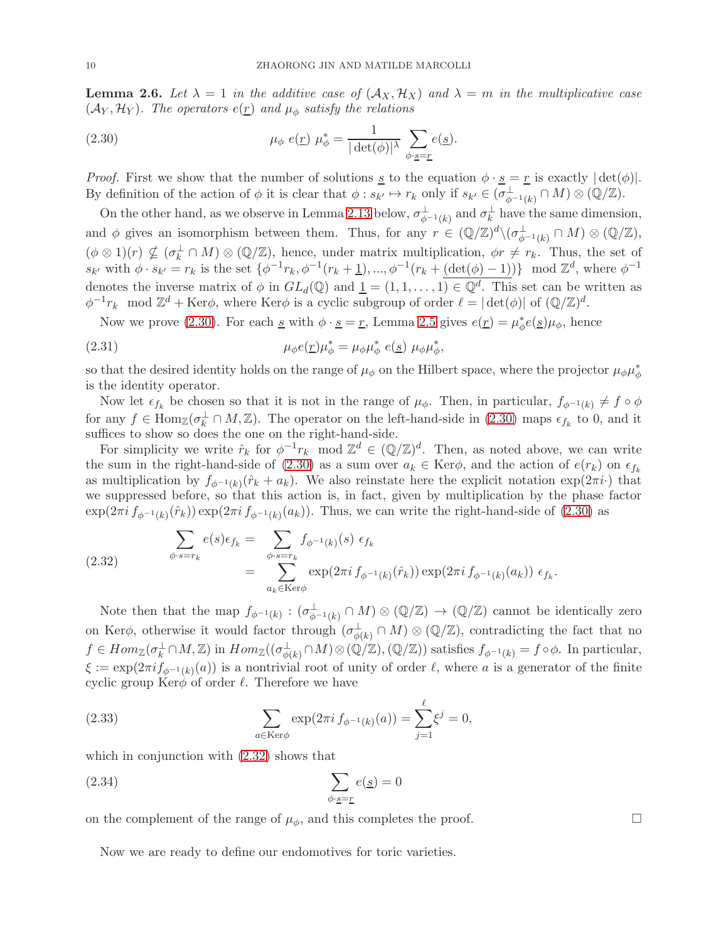<span id="page-9-0"></span>**Lemma 2.6.** Let  $\lambda = 1$  in the additive case of  $(\mathcal{A}_X, \mathcal{H}_X)$  and  $\lambda = m$  in the multiplicative case  $(\mathcal{A}_Y, \mathcal{H}_Y)$ . The operators  $e(\underline{r})$  and  $\mu_{\phi}$  satisfy the relations

<span id="page-9-1"></span>(2.30) 
$$
\mu_{\phi} e(\underline{r}) \mu_{\phi}^* = \frac{1}{|\det(\phi)|^{\lambda}} \sum_{\phi \cdot \underline{s} = \underline{r}} e(\underline{s}).
$$

*Proof.* First we show that the number of solutions <u>s</u> to the equation  $\phi \cdot \underline{s} = \underline{r}$  is exactly  $|\det(\phi)|$ . By definition of the action of  $\phi$  it is clear that  $\phi: s_{k'} \mapsto r_k$  only if  $s_{k'} \in (\sigma_{\phi^{-1}(k)}^{\perp} \cap M) \otimes (\mathbb{Q}/\mathbb{Z})$ .

On the other hand, as we observe in Lemma [2.13](#page-13-0) below,  $\sigma_{\phi^{-1}(k)}^{\perp}$  and  $\sigma_k^{\perp}$  have the same dimension, and  $\phi$  gives an isomorphism between them. Thus, for any  $r \in (\mathbb{Q}/\mathbb{Z})^d \setminus (\sigma_{\phi^{-1}(k)}^{\perp} \cap M) \otimes (\mathbb{Q}/\mathbb{Z}),$  $(\phi \otimes 1)(r) \nsubseteq (\sigma_k^{\perp} \cap M) \otimes (\mathbb{Q}/\mathbb{Z})$ , hence, under matrix multiplication,  $\phi r \neq r_k$ . Thus, the set of  $s_{k'}$  with  $\phi \cdot s_{k'} = r_k$  is the set  $\{\phi^{-1}r_k, \phi^{-1}(r_k + \underline{1}), ..., \phi^{-1}(r_k + \underline{(\det(\phi) - 1)})\}$  mod  $\mathbb{Z}^d$ , where  $\phi^{-1}$ denotes the inverse matrix of  $\phi$  in  $GL_d(\mathbb{Q})$  and  $\underline{1} = (1, 1, \ldots, 1) \in \mathbb{Q}^d$ . This set can be written as  $\phi^{-1}r_k \mod \mathbb{Z}^d + \text{Ker}\phi$ , where  $\text{Ker}\phi$  is a cyclic subgroup of order  $\ell = |\det(\phi)|$  of  $(\mathbb{Q}/\mathbb{Z})^d$ .

Now we prove [\(2.30\)](#page-9-1). For each <u>s</u> with  $\phi \cdot \underline{s} = \underline{r}$ , Lemma [2.5](#page-8-0) gives  $e(\underline{r}) = \mu_{\phi}^* e(\underline{s}) \mu_{\phi}$ , hence

(2.31) 
$$
\mu_{\phi}e(\underline{r})\mu_{\phi}^* = \mu_{\phi}\mu_{\phi}^* e(\underline{s}) \mu_{\phi}\mu_{\phi}^*,
$$

so that the desired identity holds on the range of  $\mu_{\phi}$  on the Hilbert space, where the projector  $\mu_{\phi}\mu_{\phi}^{*}$ is the identity operator.

Now let  $\epsilon_{f_k}$  be chosen so that it is not in the range of  $\mu_{\phi}$ . Then, in particular,  $f_{\phi^{-1}(k)} \neq f \circ \phi$ for any  $f \in \text{Hom}_{\mathbb{Z}}(\sigma_k^{\perp} \cap M, \mathbb{Z})$ . The operator on the left-hand-side in [\(2.30\)](#page-9-1) maps  $\epsilon_{f_k}$  to 0, and it suffices to show so does the one on the right-hand-side.

For simplicity we write  $\hat{r}_k$  for  $\phi^{-1}r_k \mod \mathbb{Z}^d \in (\mathbb{Q}/\mathbb{Z})^d$ . Then, as noted above, we can write the sum in the right-hand-side of [\(2.30\)](#page-9-1) as a sum over  $a_k \in \text{Ker}\phi$ , and the action of  $e(r_k)$  on  $\epsilon_{f_k}$ as multiplication by  $f_{\phi^{-1}(k)}(\hat{r}_k + a_k)$ . We also reinstate here the explicit notation  $\exp(2\pi i \cdot)$  that we suppressed before, so that this action is, in fact, given by multiplication by the phase factor  $\exp(2\pi i f_{\phi^{-1}(k)}(\hat{r}_k)) \exp(2\pi i f_{\phi^{-1}(k)}(a_k))$ . Thus, we can write the right-hand-side of [\(2.30\)](#page-9-1) as

<span id="page-9-2"></span>(2.32) 
$$
\sum_{\phi \cdot s = r_k} e(s) \epsilon_{f_k} = \sum_{\phi \cdot s = r_k} f_{\phi^{-1}(k)}(s) \epsilon_{f_k} = \sum_{a_k \in \text{Ker}\phi} \exp(2\pi i f_{\phi^{-1}(k)}(\hat{r}_k)) \exp(2\pi i f_{\phi^{-1}(k)}(a_k)) \epsilon_{f_k}.
$$

Note then that the map  $f_{\phi^{-1}(k)} : (\sigma_{\phi^{-1}(k)}^{\perp} \cap M) \otimes (\mathbb{Q}/\mathbb{Z}) \to (\mathbb{Q}/\mathbb{Z})$  cannot be identically zero on Ker $\phi$ , otherwise it would factor through  $(\sigma_{\phi}^{\perp})$  $\frac{1}{\phi(k)} \cap M) \otimes (\mathbb{Q}/\mathbb{Z})$ , contradicting the fact that no  $f \in Hom_{\mathbb{Z}}(\sigma_k^{\perp} \cap M, \mathbb{Z})$  in  $Hom_{\mathbb{Z}}((\sigma_{\phi(k)}^{\perp} \cap M, \mathbb{Z}))$  $^{\perp}_{\phi(k)} \cap M) \otimes (\mathbb{Q}/\mathbb{Z}), (\mathbb{Q}/\mathbb{Z}))$  satisfies  $f_{\phi^{-1}(k)} = f \circ \phi$ . In particular,  $\xi := \exp(2\pi i f_{\phi^{-1}(k)}(a))$  is a nontrivial root of unity of order  $\ell$ , where a is a generator of the finite cyclic group  $Ker\phi$  of order  $\ell$ . Therefore we have

(2.33) 
$$
\sum_{a \in \text{Ker}\phi} \exp(2\pi i f_{\phi^{-1}(k)}(a)) = \sum_{j=1}^{\ell} \xi^j = 0,
$$

which in conjunction with  $(2.32)$  shows that

$$
\sum_{\phi \cdot \underline{s} = \underline{r}} e(\underline{s}) = 0
$$

on the complement of the range of  $\mu_{\phi}$ , and this completes the proof.

Now we are ready to define our endomotives for toric varieties.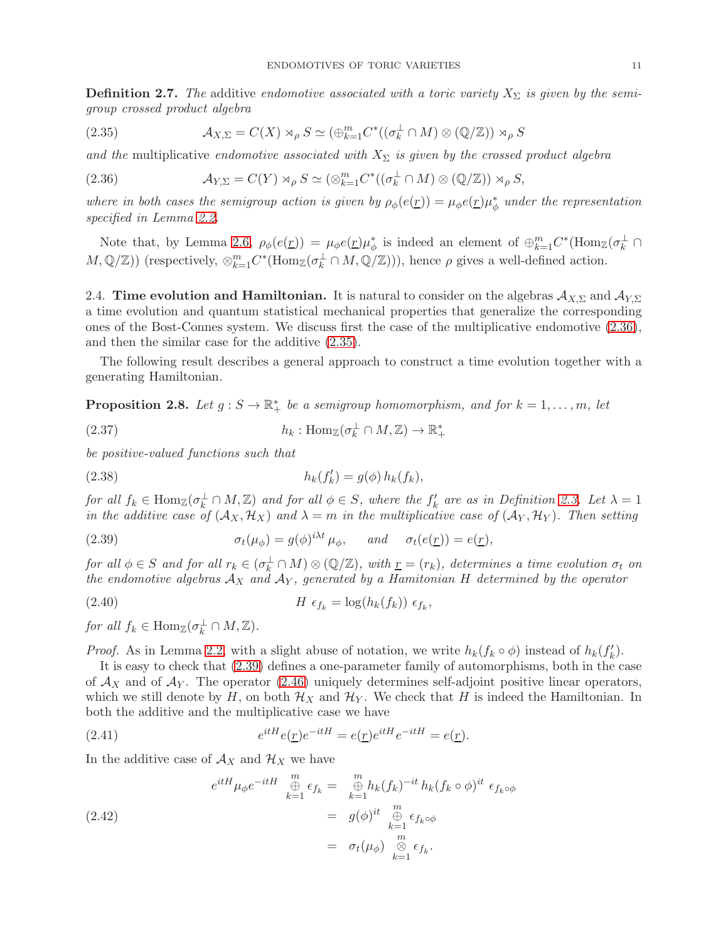**Definition 2.7.** The additive endomotive associated with a toric variety  $X_{\Sigma}$  is given by the semigroup crossed product algebra

<span id="page-10-3"></span>(2.35) 
$$
\mathcal{A}_{X,\Sigma} = C(X) \rtimes_{\rho} S \simeq (\oplus_{k=1}^{m} C^{*}((\sigma_{k}^{\perp} \cap M) \otimes (\mathbb{Q}/\mathbb{Z})) \rtimes_{\rho} S
$$

and the multiplicative endomotive associated with  $X_{\Sigma}$  is given by the crossed product algebra

<span id="page-10-2"></span>(2.36) 
$$
\mathcal{A}_{Y,\Sigma} = C(Y) \rtimes_{\rho} S \simeq (\otimes_{k=1}^{m} C^{*}((\sigma_{k}^{\perp} \cap M) \otimes (\mathbb{Q}/\mathbb{Z})) \rtimes_{\rho} S,
$$

where in both cases the semigroup action is given by  $\rho_{\phi}(e(\underline{r})) = \mu_{\phi}e(\underline{r})\mu_{\phi}^{*}$  under the representation specified in Lemma [2.2.](#page-7-1)

Note that, by Lemma [2.6,](#page-9-0)  $\rho_{\phi}(e(\underline{r})) = \mu_{\phi}e(\underline{r})\mu_{\phi}^{*}$  is indeed an element of  $\oplus_{k=1}^{m} C^{*}(\text{Hom}_{\mathbb{Z}}(\sigma_{k}^{\perp} \cap$  $M, \mathbb{Q}/\mathbb{Z})$ ) (respectively,  $\otimes_{k=1}^m C^*(\text{Hom}_{\mathbb{Z}}(\sigma_k^{\perp} \cap M, \mathbb{Q}/\mathbb{Z}))$ ), hence  $\rho$  gives a well-defined action.

<span id="page-10-0"></span>2.4. Time evolution and Hamiltonian. It is natural to consider on the algebras  $\mathcal{A}_{X,\Sigma}$  and  $\mathcal{A}_{Y,\Sigma}$ a time evolution and quantum statistical mechanical properties that generalize the corresponding ones of the Bost-Connes system. We discuss first the case of the multiplicative endomotive [\(2.36\)](#page-10-2), and then the similar case for the additive [\(2.35\)](#page-10-3).

The following result describes a general approach to construct a time evolution together with a generating Hamiltonian.

<span id="page-10-1"></span>**Proposition 2.8.** Let  $g : S \to \mathbb{R}_+^*$  be a semigroup homomorphism, and for  $k = 1, ..., m$ , let

(2.37) 
$$
h_k: \text{Hom}_{\mathbb{Z}}(\sigma_k^{\perp} \cap M, \mathbb{Z}) \to \mathbb{R}_+^*
$$

be positive-valued functions such that

<span id="page-10-5"></span>(2.38) 
$$
h_k(f'_k) = g(\phi) h_k(f_k),
$$

for all  $f_k \in \text{Hom}_{\mathbb{Z}}(\sigma_k^{\perp} \cap M, \mathbb{Z})$  and for all  $\phi \in S$ , where the  $f'_k$  are as in Definition [2.3.](#page-8-2) Let  $\lambda = 1$ in the additive case of  $(\mathcal{A}_X, \mathcal{H}_X)$  and  $\lambda = m$  in the multiplicative case of  $(\mathcal{A}_Y, \mathcal{H}_Y)$ . Then setting

<span id="page-10-4"></span>(2.39) 
$$
\sigma_t(\mu_{\phi}) = g(\phi)^{i\lambda t} \mu_{\phi}, \quad \text{and} \quad \sigma_t(e(\underline{r})) = e(\underline{r}),
$$

for all  $\phi \in S$  and for all  $r_k \in (\sigma_k^{\perp} \cap M) \otimes (\mathbb{Q}/\mathbb{Z})$ , with  $r = (r_k)$ , determines a time evolution  $\sigma_t$  on the endomotive algebras  $A_X$  and  $A_Y$ , generated by a Hamitonian H determined by the operator

(2.40) 
$$
H \epsilon_{f_k} = \log(h_k(f_k)) \epsilon_{f_k},
$$

for all  $f_k \in \text{Hom}_{\mathbb{Z}}(\sigma_k^{\perp} \cap M, \mathbb{Z})$ .

*Proof.* As in Lemma [2.2,](#page-7-1) with a slight abuse of notation, we write  $h_k(f_k \circ \phi)$  instead of  $h_k(f'_k)$ .

It is easy to check that [\(2.39\)](#page-10-4) defines a one-parameter family of automorphisms, both in the case of  $\mathcal{A}_X$  and of  $\mathcal{A}_Y$ . The operator [\(2.46\)](#page-11-0) uniquely determines self-adjoint positive linear operators, which we still denote by H, on both  $\mathcal{H}_X$  and  $\mathcal{H}_Y$ . We check that H is indeed the Hamiltonian. In both the additive and the multiplicative case we have

(2.41) 
$$
e^{itH}e(\underline{r})e^{-itH} = e(\underline{r})e^{itH}e^{-itH} = e(\underline{r}).
$$

In the additive case of  $\mathcal{A}_X$  and  $\mathcal{H}_X$  we have

$$
e^{itH} \mu_{\phi} e^{-itH} \underset{k=1}{\overset{m}{\oplus}} \epsilon_{f_k} = \underset{k=1}{\overset{m}{\oplus}} h_k(f_k)^{-it} h_k(f_k \circ \phi)^{it} \epsilon_{f_k \circ \phi}
$$
  
\n
$$
= g(\phi)^{it} \underset{k=1}{\overset{m}{\oplus}} \epsilon_{f_k \circ \phi}
$$
  
\n
$$
= \sigma_t(\mu_{\phi}) \underset{k=1}{\overset{m}{\otimes}} \epsilon_{f_k}.
$$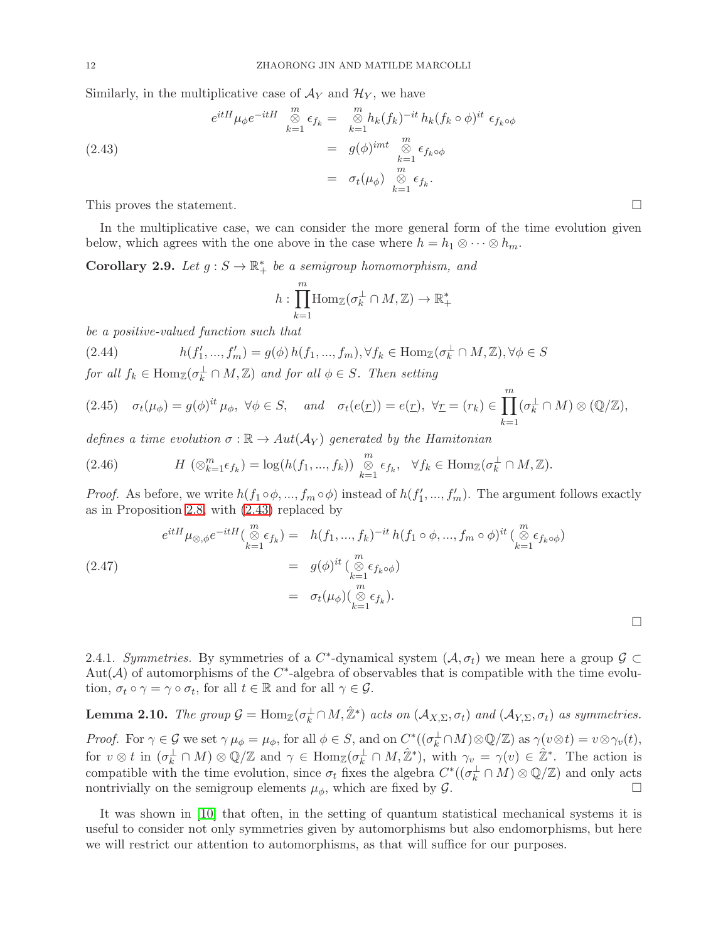Similarly, in the multiplicative case of  $\mathcal{A}_Y$  and  $\mathcal{H}_Y$ , we have

<span id="page-11-1"></span>(2.43)  
\n
$$
e^{itH} \mu_{\phi} e^{-itH} \overset{m}{\underset{k=1}{\otimes}} \epsilon_{f_k} = \underset{k=1}{\overset{m}{\otimes}} h_k (f_k)^{-it} h_k (f_k \circ \phi)^{it} \epsilon_{f_k \circ \phi}
$$
\n
$$
= g(\phi)^{imt} \underset{k=1}{\overset{m}{\otimes}} \epsilon_{f_k \circ \phi}
$$
\n
$$
= \sigma_t(\mu_{\phi}) \underset{k=1}{\overset{m}{\otimes}} \epsilon_{f_k}.
$$

This proves the statement.

In the multiplicative case, we can consider the more general form of the time evolution given below, which agrees with the one above in the case where  $h = h_1 \otimes \cdots \otimes h_m$ .

<span id="page-11-2"></span>**Corollary 2.9.** Let  $g : S \to \mathbb{R}_+^*$  be a semigroup homomorphism, and

$$
h: \prod_{k=1}^{m} \text{Hom}_{\mathbb{Z}}(\sigma_k^{\perp} \cap M, \mathbb{Z}) \to \mathbb{R}_+^*
$$

be a positive-valued function such that

<span id="page-11-3"></span>(2.44) 
$$
h(f'_1, ..., f'_m) = g(\phi) h(f_1, ..., f_m), \forall f_k \in \text{Hom}_{\mathbb{Z}}(\sigma_k^{\perp} \cap M, \mathbb{Z}), \forall \phi \in S
$$

for all  $f_k \in \text{Hom}_{\mathbb{Z}}(\sigma_k^{\perp} \cap M, \mathbb{Z})$  and for all  $\phi \in S$ . Then setting

$$
(2.45) \quad \sigma_t(\mu_{\phi}) = g(\phi)^{it} \mu_{\phi}, \ \forall \phi \in S, \quad and \quad \sigma_t(e(\underline{r})) = e(\underline{r}), \ \forall \underline{r} = (r_k) \in \prod_{k=1}^m (\sigma_k^{\perp} \cap M) \otimes (\mathbb{Q}/\mathbb{Z}),
$$

defines a time evolution  $\sigma : \mathbb{R} \to Aut(\mathcal{A}_Y)$  generated by the Hamitonian

<span id="page-11-0"></span>(2.46) 
$$
H\left(\otimes_{k=1}^m \epsilon_{f_k}\right) = \log(h(f_1,...,f_k)) \overset{m}{\underset{k=1}{\otimes}} \epsilon_{f_k}, \quad \forall f_k \in \text{Hom}_{\mathbb{Z}}(\sigma_k^{\perp} \cap M,\mathbb{Z}).
$$

*Proof.* As before, we write  $h(f_1 \circ \phi, ..., f_m \circ \phi)$  instead of  $h(f'_1, ..., f'_m)$ . The argument follows exactly as in Proposition [2.8,](#page-10-1) with [\(2.43\)](#page-11-1) replaced by

$$
e^{itH} \mu_{\otimes,\phi} e^{-itH} \left( \bigotimes_{k=1}^{m} \epsilon_{f_k} \right) = h(f_1, ..., f_k)^{-it} h(f_1 \circ \phi, ..., f_m \circ \phi)^{it} \left( \bigotimes_{k=1}^{m} \epsilon_{f_k \circ \phi} \right)
$$
  
\n(2.47)  
\n
$$
= g(\phi)^{it} \left( \bigotimes_{k=1}^{m} \epsilon_{f_k \circ \phi} \right)
$$
  
\n
$$
= \sigma_t(\mu_{\phi}) \left( \bigotimes_{k=1}^{m} \epsilon_{f_k} \right).
$$

2.4.1. Symmetries. By symmetries of a  $C^*$ -dynamical system  $(\mathcal{A}, \sigma_t)$  we mean here a group  $\mathcal{G} \subset$ Aut( $A$ ) of automorphisms of the  $C^*$ -algebra of observables that is compatible with the time evolution,  $\sigma_t \circ \gamma = \gamma \circ \sigma_t$ , for all  $t \in \mathbb{R}$  and for all  $\gamma \in \mathcal{G}$ .

<span id="page-11-4"></span>**Lemma 2.10.** The group  $\mathcal{G} = \text{Hom}_{\mathbb{Z}}(\sigma_k^{\perp} \cap M, \hat{\mathbb{Z}}^*)$  acts on  $(\mathcal{A}_{X,\Sigma}, \sigma_t)$  and  $(\mathcal{A}_{Y,\Sigma}, \sigma_t)$  as symmetries. Proof. For  $\gamma \in \mathcal{G}$  we set  $\gamma \mu_{\phi} = \mu_{\phi}$ , for all  $\phi \in S$ , and on  $C^*( (\sigma_k^{\perp} \cap M) \otimes \mathbb{Q}/\mathbb{Z})$  as  $\gamma(\nu \otimes t) = \nu \otimes \gamma_{\nu}(t)$ , for  $v \otimes t$  in  $(\sigma_k^{\perp} \cap M) \otimes \mathbb{Q}/\mathbb{Z}$  and  $\gamma \in \text{Hom}_{\mathbb{Z}}(\sigma_k^{\perp} \cap M, \hat{\mathbb{Z}}^*)$ , with  $\gamma_v = \gamma(v) \in \hat{\mathbb{Z}}^*$ . The action is compatible with the time evolution, since  $\sigma_t$  fixes the algebra  $C^*$  ( $(\sigma_k^{\perp} \cap M) \otimes \mathbb{Q}/\mathbb{Z}$ ) and only acts nontrivially on the semigroup elements  $\mu_{\phi}$ , which are fixed by  $\mathcal{G}$ .

It was shown in [\[10\]](#page-27-9) that often, in the setting of quantum statistical mechanical systems it is useful to consider not only symmetries given by automorphisms but also endomorphisms, but here we will restrict our attention to automorphisms, as that will suffice for our purposes.

 $\Box$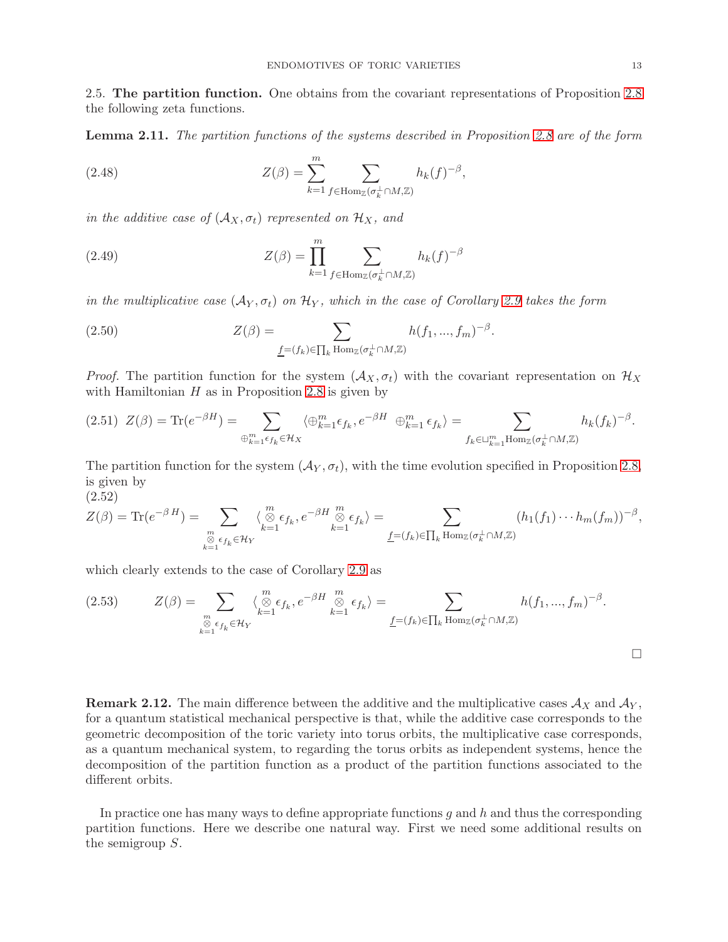<span id="page-12-0"></span>2.5. The partition function. One obtains from the covariant representations of Proposition [2.8](#page-10-1) the following zeta functions.

Lemma 2.11. The partition functions of the systems described in Proposition [2.8](#page-10-1) are of the form

(2.48) 
$$
Z(\beta) = \sum_{k=1}^{m} \sum_{f \in \text{Hom}_{\mathbb{Z}}(\sigma_k^{\perp} \cap M, \mathbb{Z})} h_k(f)^{-\beta},
$$

in the additive case of  $(A_X, \sigma_t)$  represented on  $\mathcal{H}_X$ , and

(2.49) 
$$
Z(\beta) = \prod_{k=1}^{m} \sum_{f \in \text{Hom}_{\mathbb{Z}}(\sigma_k^{\perp} \cap M, \mathbb{Z})} h_k(f)^{-\beta}
$$

in the multiplicative case  $(\mathcal{A}_Y, \sigma_t)$  on  $\mathcal{H}_Y$ , which in the case of Corollary [2.9](#page-11-2) takes the form

(2.50) 
$$
Z(\beta) = \sum_{\underline{f} = (f_k) \in \prod_k \text{Hom}_{\mathbb{Z}}(\sigma_k^{\perp} \cap M, \mathbb{Z})} h(f_1, ..., f_m)^{-\beta}.
$$

*Proof.* The partition function for the system  $(\mathcal{A}_X, \sigma_t)$  with the covariant representation on  $\mathcal{H}_X$ with Hamiltonian  $H$  as in Proposition [2.8](#page-10-1) is given by

$$
(2.51)\ \ Z(\beta) = \text{Tr}(e^{-\beta H}) = \sum_{\bigoplus_{k=1}^m \epsilon_{f_k} \in \mathcal{H}_X} \langle \bigoplus_{k=1}^m \epsilon_{f_k}, e^{-\beta H} \bigoplus_{k=1}^m \epsilon_{f_k} \rangle = \sum_{f_k \in \sqcup_{k=1}^m \text{Hom}_{\mathbb{Z}}(\sigma_k^{\perp} \cap M, \mathbb{Z})} h_k(f_k)^{-\beta}.
$$

The partition function for the system  $(\mathcal{A}_Y, \sigma_t)$ , with the time evolution specified in Proposition [2.8,](#page-10-1) is given by (2.52)

$$
Z(\beta) = \text{Tr}(e^{-\beta H}) = \sum_{\substack{m \\ \delta \in \mathfrak{c}_{f_k} \in \mathcal{H}_Y}} \langle \oint_{k=1}^m \epsilon_{f_k}, e^{-\beta H} \oint_{k=1}^m \epsilon_{f_k} \rangle = \sum_{\underline{f} = (f_k) \in \prod_k \text{Hom}_{\mathbb{Z}}(\sigma_k^{\perp} \cap M, \mathbb{Z})} (h_1(f_1) \cdots h_m(f_m))^{-\beta},
$$

which clearly extends to the case of Corollary [2.9](#page-11-2) as

$$
(2.53) \t Z(\beta) = \sum_{\substack{m \\ \emptyset \text{ s } \in f_k \in \mathcal{H}_Y}} \langle \begin{matrix} m \\ \emptyset \text{ s } f_k, e^{-\beta H} \end{matrix} \begin{matrix} m \\ \emptyset \text{ s } f_k \end{matrix} \rangle = \sum_{\underline{f} = (f_k) \in \prod_k \text{Hom}_{\mathbb{Z}}(\sigma_k^{\perp} \cap M, \mathbb{Z})} h(f_1, ..., f_m)^{-\beta}.
$$

**Remark 2.12.** The main difference between the additive and the multiplicative cases  $\mathcal{A}_X$  and  $\mathcal{A}_Y$ , for a quantum statistical mechanical perspective is that, while the additive case corresponds to the geometric decomposition of the toric variety into torus orbits, the multiplicative case corresponds, as a quantum mechanical system, to regarding the torus orbits as independent systems, hence the decomposition of the partition function as a product of the partition functions associated to the different orbits.

In practice one has many ways to define appropriate functions  $q$  and  $h$  and thus the corresponding partition functions. Here we describe one natural way. First we need some additional results on the semigroup S.

 $\Box$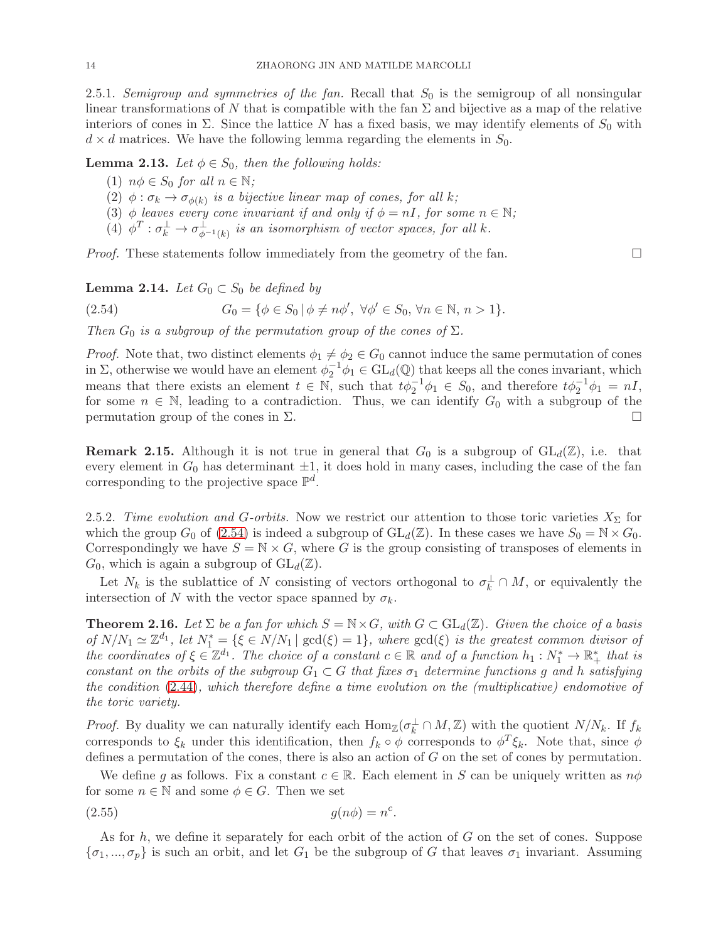2.5.1. Semigroup and symmetries of the fan. Recall that  $S_0$  is the semigroup of all nonsingular linear transformations of N that is compatible with the fan  $\Sigma$  and bijective as a map of the relative interiors of cones in  $\Sigma$ . Since the lattice N has a fixed basis, we may identify elements of  $S_0$  with  $d \times d$  matrices. We have the following lemma regarding the elements in  $S_0$ .

<span id="page-13-0"></span>**Lemma 2.13.** Let  $\phi \in S_0$ , then the following holds:

- (1)  $n\phi \in S_0$  for all  $n \in \mathbb{N}$ ;
- (2)  $\phi : \sigma_k \to \sigma_{\phi(k)}$  is a bijective linear map of cones, for all k;
- (3)  $\phi$  leaves every cone invariant if and only if  $\phi = nI$ , for some  $n \in \mathbb{N}$ ;
- (4)  $\phi^T : \sigma_k^{\perp} \to \sigma_{\phi^{-1}(k)}^{\perp}$  is an isomorphism of vector spaces, for all k.

*Proof.* These statements follow immediately from the geometry of the fan.  $\square$ 

### **Lemma 2.14.** Let  $G_0 \subset S_0$  be defined by

<span id="page-13-1"></span>(2.54) 
$$
G_0 = \{ \phi \in S_0 \mid \phi \neq n\phi', \ \forall \phi' \in S_0, \forall n \in \mathbb{N}, n > 1 \}.
$$

Then  $G_0$  is a subgroup of the permutation group of the cones of  $\Sigma$ .

*Proof.* Note that, two distinct elements  $\phi_1 \neq \phi_2 \in G_0$  cannot induce the same permutation of cones in  $\Sigma$ , otherwise we would have an element  $\phi_2^{-1}\phi_1 \in GL_d(\mathbb{Q})$  that keeps all the cones invariant, which means that there exists an element  $t \in \mathbb{N}$ , such that  $t\phi_2^{-1}\phi_1 \in S_0$ , and therefore  $t\phi_2^{-1}\phi_1 = nI$ , for some  $n \in \mathbb{N}$ , leading to a contradiction. Thus, we can identify  $G_0$  with a subgroup of the permutation group of the cones in  $\Sigma$ . permutation group of the cones in  $Σ$ .

**Remark 2.15.** Although it is not true in general that  $G_0$  is a subgroup of  $GL_d(\mathbb{Z})$ , i.e. that every element in  $G_0$  has determinant  $\pm 1$ , it does hold in many cases, including the case of the fan corresponding to the projective space  $\mathbb{P}^d$ .

2.5.2. Time evolution and G-orbits. Now we restrict our attention to those toric varieties  $X_{\Sigma}$  for which the group  $G_0$  of [\(2.54\)](#page-13-1) is indeed a subgroup of  $GL_d(\mathbb{Z})$ . In these cases we have  $S_0 = \mathbb{N} \times G_0$ . Correspondingly we have  $S = N \times G$ , where G is the group consisting of transposes of elements in  $G_0$ , which is again a subgroup of  $GL_d(\mathbb{Z})$ .

Let  $N_k$  is the sublattice of N consisting of vectors orthogonal to  $\sigma_k^{\perp} \cap M$ , or equivalently the intersection of N with the vector space spanned by  $\sigma_k$ .

<span id="page-13-2"></span>**Theorem 2.16.** Let  $\Sigma$  be a fan for which  $S = \mathbb{N} \times G$ , with  $G \subset GL_d(\mathbb{Z})$ . Given the choice of a basis of  $N/N_1 \simeq \mathbb{Z}^{d_1}$ , let  $N_1^* = \{\xi \in N/N_1 \mid \gcd(\xi) = 1\}$ , where  $\gcd(\xi)$  is the greatest common divisor of the coordinates of  $\xi \in \mathbb{Z}^{d_1}$ . The choice of a constant  $c \in \mathbb{R}$  and of a function  $h_1 : N_1^* \to \mathbb{R}_+^*$  that is constant on the orbits of the subgroup  $G_1 \subset G$  that fixes  $\sigma_1$  determine functions g and h satisfying the condition [\(2.44\)](#page-11-3), which therefore define a time evolution on the (multiplicative) endomotive of the toric variety.

*Proof.* By duality we can naturally identify each  $\text{Hom}_{\mathbb{Z}}(\sigma_k^{\perp} \cap M, \mathbb{Z})$  with the quotient  $N/N_k$ . If  $f_k$ corresponds to  $\xi_k$  under this identification, then  $f_k \circ \phi$  corresponds to  $\phi^T \xi_k$ . Note that, since  $\phi$ defines a permutation of the cones, there is also an action of  $G$  on the set of cones by permutation.

We define q as follows. Fix a constant  $c \in \mathbb{R}$ . Each element in S can be uniquely written as  $n\phi$ for some  $n \in \mathbb{N}$  and some  $\phi \in G$ . Then we set

<span id="page-13-3"></span>
$$
(2.55) \t\t g(n\phi) = n^c.
$$

As for h, we define it separately for each orbit of the action of G on the set of cones. Suppose  $\{\sigma_1,...,\sigma_p\}$  is such an orbit, and let  $G_1$  be the subgroup of G that leaves  $\sigma_1$  invariant. Assuming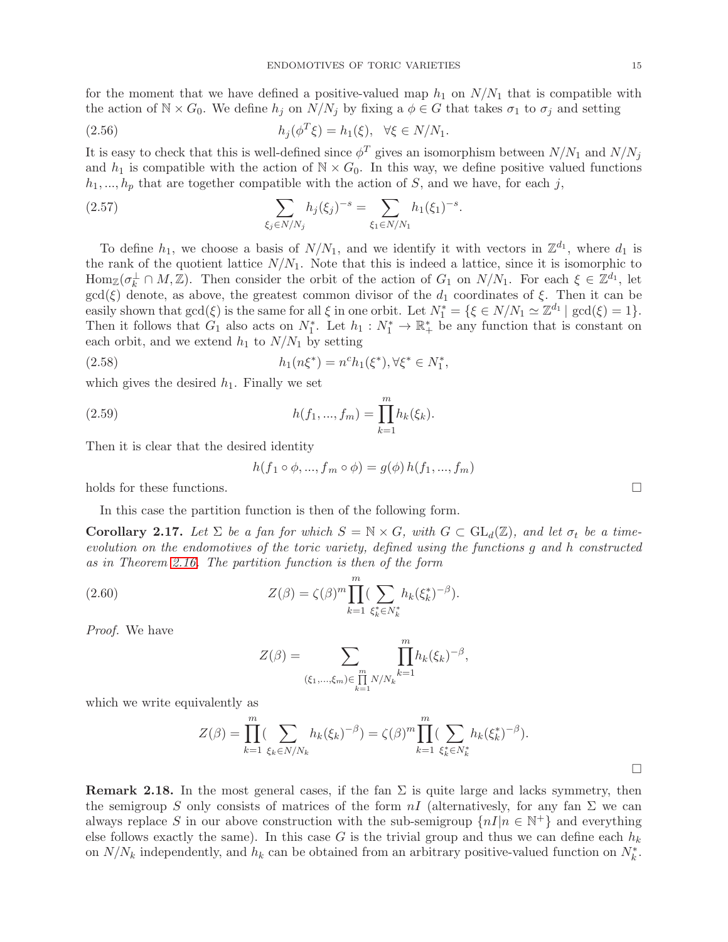for the moment that we have defined a positive-valued map  $h_1$  on  $N/N_1$  that is compatible with the action of  $\mathbb{N} \times G_0$ . We define  $h_j$  on  $N/N_j$  by fixing a  $\phi \in G$  that takes  $\sigma_1$  to  $\sigma_j$  and setting

(2.56) 
$$
h_j(\phi^T \xi) = h_1(\xi), \quad \forall \xi \in N/N_1.
$$

It is easy to check that this is well-defined since  $\phi^T$  gives an isomorphism between  $N/N_1$  and  $N/N_j$ and  $h_1$  is compatible with the action of  $\mathbb{N} \times G_0$ . In this way, we define positive valued functions  $h_1, ..., h_p$  that are together compatible with the action of S, and we have, for each j,

(2.57) 
$$
\sum_{\xi_j \in N/N_j} h_j(\xi_j)^{-s} = \sum_{\xi_1 \in N/N_1} h_1(\xi_1)^{-s}.
$$

To define  $h_1$ , we choose a basis of  $N/N_1$ , and we identify it with vectors in  $\mathbb{Z}^{d_1}$ , where  $d_1$  is the rank of the quotient lattice  $N/N_1$ . Note that this is indeed a lattice, since it is isomorphic to  $\text{Hom}_{\mathbb{Z}}(\sigma_k^{\perp} \cap M, \mathbb{Z})$ . Then consider the orbit of the action of  $G_1$  on  $N/N_1$ . For each  $\xi \in \mathbb{Z}^{d_1}$ , let  $gcd(\xi)$  denote, as above, the greatest common divisor of the  $d_1$  coordinates of  $\xi$ . Then it can be easily shown that  $gcd(\xi)$  is the same for all  $\xi$  in one orbit. Let  $N_1^* = {\xi \in N/N_1 \simeq \mathbb{Z}^{d_1} | gcd(\xi) = 1}.$ Then it follows that  $G_1$  also acts on  $N_1^*$ . Let  $h_1: N_1^* \to \mathbb{R}_+^*$  be any function that is constant on each orbit, and we extend  $h_1$  to  $N/N_1$  by setting

(2.58) 
$$
h_1(n\xi^*) = n^c h_1(\xi^*), \forall \xi^* \in N_1^*,
$$

which gives the desired  $h_1$ . Finally we set

(2.59) 
$$
h(f_1, ..., f_m) = \prod_{k=1}^m h_k(\xi_k).
$$

Then it is clear that the desired identity

$$
h(f_1 \circ \phi, ..., f_m \circ \phi) = g(\phi) h(f_1, ..., f_m)
$$

holds for these functions.

In this case the partition function is then of the following form.

<span id="page-14-0"></span>**Corollary 2.17.** Let  $\Sigma$  be a fan for which  $S = \mathbb{N} \times G$ , with  $G \subset GL_d(\mathbb{Z})$ , and let  $\sigma_t$  be a timeevolution on the endomotives of the toric variety, defined using the functions g and h constructed as in Theorem [2.16.](#page-13-2) The partition function is then of the form

(2.60) 
$$
Z(\beta) = \zeta(\beta)^m \prod_{k=1}^m (\sum_{\xi_k^* \in N_k^*} h_k(\xi_k^*)^{-\beta}).
$$

Proof. We have

$$
Z(\beta) = \sum_{(\xi_1, ..., \xi_m) \in \prod_{k=1}^m N/N_k} \prod_{k=1}^m h_k(\xi_k)^{-\beta},
$$

which we write equivalently as

$$
Z(\beta) = \prod_{k=1}^{m} (\sum_{\xi_k \in N/N_k} h_k(\xi_k)^{-\beta}) = \zeta(\beta)^m \prod_{k=1}^{m} (\sum_{\xi_k^* \in N_k^*} h_k(\xi_k^*)^{-\beta}).
$$

**Remark 2.18.** In the most general cases, if the fan  $\Sigma$  is quite large and lacks symmetry, then the semigroup S only consists of matrices of the form  $nI$  (alternativesly, for any fan  $\Sigma$  we can always replace S in our above construction with the sub-semigroup  $\{nI|n \in \mathbb{N}^+\}$  and everything else follows exactly the same). In this case G is the trivial group and thus we can define each  $h_k$ on  $N/N_k$  independently, and  $h_k$  can be obtained from an arbitrary positive-valued function on  $N_k^*$ .

 $\Box$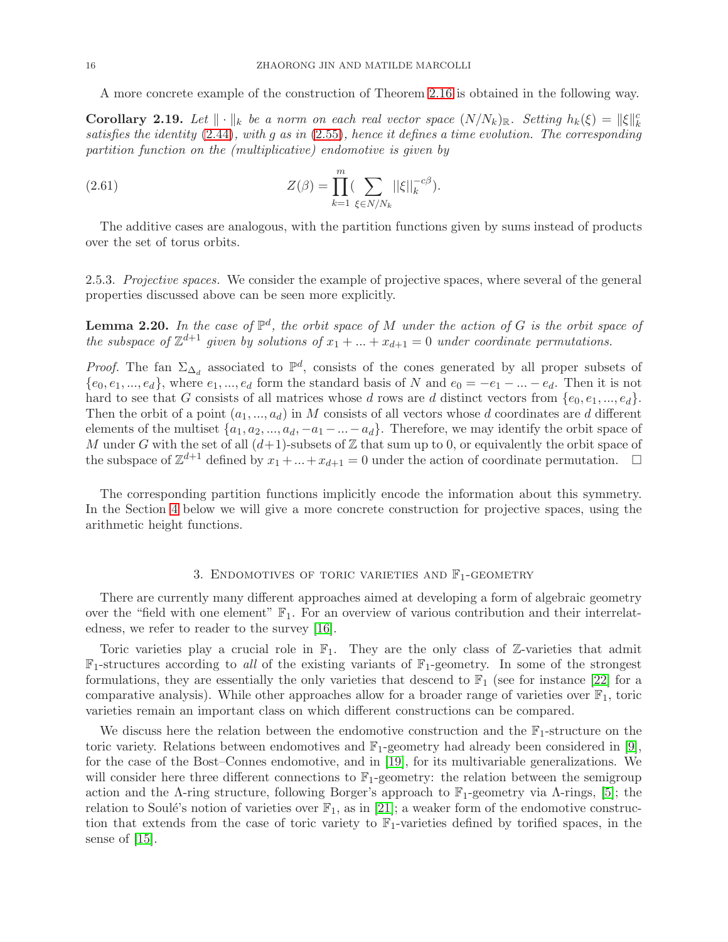A more concrete example of the construction of Theorem [2.16](#page-13-2) is obtained in the following way.

**Corollary 2.19.** Let  $\|\cdot\|_k$  be a norm on each real vector space  $(N/N_k)_\mathbb{R}$ . Setting  $h_k(\xi) = \|\xi\|_k^c$ satisfies the identity [\(2.44\)](#page-11-3), with g as in [\(2.55\)](#page-13-3), hence it defines a time evolution. The corresponding partition function on the (multiplicative) endomotive is given by

(2.61) 
$$
Z(\beta) = \prod_{k=1}^{m} (\sum_{\xi \in N/N_k} ||\xi||_k^{-c\beta}).
$$

The additive cases are analogous, with the partition functions given by sums instead of products over the set of torus orbits.

2.5.3. Projective spaces. We consider the example of projective spaces, where several of the general properties discussed above can be seen more explicitly.

<span id="page-15-1"></span>**Lemma 2.20.** In the case of  $\mathbb{P}^d$ , the orbit space of M under the action of G is the orbit space of the subspace of  $\mathbb{Z}^{d+1}$  given by solutions of  $x_1 + ... + x_{d+1} = 0$  under coordinate permutations.

*Proof.* The fan  $\Sigma_{\Delta_d}$  associated to  $\mathbb{P}^d$ , consists of the cones generated by all proper subsets of  ${e_0, e_1, ..., e_d}$ , where  $e_1, ..., e_d$  form the standard basis of N and  $e_0 = -e_1 - ... - e_d$ . Then it is not hard to see that G consists of all matrices whose d rows are d distinct vectors from  $\{e_0, e_1, ..., e_d\}$ . Then the orbit of a point  $(a_1, ..., a_d)$  in M consists of all vectors whose d coordinates are d different elements of the multiset  $\{a_1, a_2, ..., a_d, -a_1 - ... - a_d\}$ . Therefore, we may identify the orbit space of M under G with the set of all  $(d+1)$ -subsets of Z that sum up to 0, or equivalently the orbit space of the subspace of  $\mathbb{Z}^{d+1}$  defined by  $x_1 + ... + x_{d+1} = 0$  under the action of coordinate permutation.  $\Box$ 

The corresponding partition functions implicitly encode the information about this symmetry. In the Section [4](#page-19-0) below we will give a more concrete construction for projective spaces, using the arithmetic height functions.

## 3. ENDOMOTIVES OF TORIC VARIETIES AND  $\mathbb{F}_1$ -GEOMETRY

<span id="page-15-0"></span>There are currently many different approaches aimed at developing a form of algebraic geometry over the "field with one element"  $\mathbb{F}_1$ . For an overview of various contribution and their interrelatedness, we refer to reader to the survey [\[16\]](#page-28-5).

Toric varieties play a crucial role in  $\mathbb{F}_1$ . They are the only class of Z-varieties that admit  $\mathbb{F}_1$ -structures according to all of the existing variants of  $\mathbb{F}_1$ -geometry. In some of the strongest formulations, they are essentially the only varieties that descend to  $\mathbb{F}_1$  (see for instance [\[22\]](#page-28-6) for a comparative analysis). While other approaches allow for a broader range of varieties over  $\mathbb{F}_1$ , toric varieties remain an important class on which different constructions can be compared.

We discuss here the relation between the endomotive construction and the  $\mathbb{F}_1$ -structure on the toric variety. Relations between endomotives and  $\mathbb{F}_1$ -geometry had already been considered in [\[9\]](#page-27-6), for the case of the Bost–Connes endomotive, and in [\[19\]](#page-28-2), for its multivariable generalizations. We will consider here three different connections to  $\mathbb{F}_1$ -geometry: the relation between the semigroup action and the Λ-ring structure, following Borger's approach to  $\mathbb{F}_1$ -geometry via Λ-rings, [\[5\]](#page-27-5); the relation to Soulé's notion of varieties over  $\mathbb{F}_1$ , as in [\[21\]](#page-28-3); a weaker form of the endomotive construction that extends from the case of toric variety to  $\mathbb{F}_1$ -varieties defined by torified spaces, in the sense of [\[15\]](#page-28-4).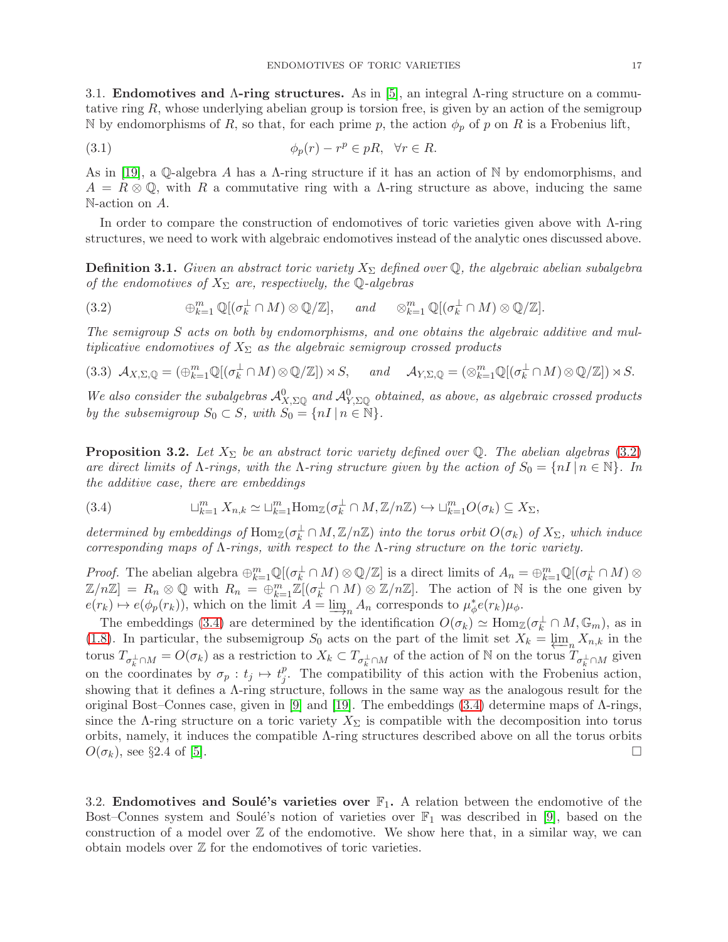<span id="page-16-0"></span>3.1. Endomotives and Λ-ring structures. As in [\[5\]](#page-27-5), an integral Λ-ring structure on a commutative ring  $R$ , whose underlying abelian group is torsion free, is given by an action of the semigroup N by endomorphisms of R, so that, for each prime p, the action  $\phi_p$  of p on R is a Frobenius lift,

(3.1) 
$$
\phi_p(r) - r^p \in pR, \quad \forall r \in R.
$$

As in [\[19\]](#page-28-2), a Q-algebra A has a  $\Lambda$ -ring structure if it has an action of N by endomorphisms, and  $A = R \otimes \mathbb{Q}$ , with R a commutative ring with a A-ring structure as above, inducing the same N-action on A.

In order to compare the construction of endomotives of toric varieties given above with Λ-ring structures, we need to work with algebraic endomotives instead of the analytic ones discussed above.

**Definition 3.1.** Given an abstract toric variety  $X_{\Sigma}$  defined over Q, the algebraic abelian subalgebra of the endomotives of  $X_{\Sigma}$  are, respectively, the Q-algebras

<span id="page-16-2"></span> $(3.2)$  $\mathbb{Q}^m_{k=1} \mathbb{Q}[(\sigma_k^{\perp} \cap M) \otimes \mathbb{Q}/\mathbb{Z}], \quad \text{and} \quad \otimes_{k=1}^m \mathbb{Q}[(\sigma_k^{\perp} \cap M) \otimes \mathbb{Q}/\mathbb{Z}].$ 

The semigroup S acts on both by endomorphisms, and one obtains the algebraic additive and multiplicative endomotives of  $X_{\Sigma}$  as the algebraic semigroup crossed products

<span id="page-16-4"></span>
$$
(3.3) \mathcal{A}_{X,\Sigma,\mathbb{Q}} = (\bigoplus_{k=1}^{m} \mathbb{Q}[(\sigma_k^{\perp} \cap M) \otimes \mathbb{Q}/\mathbb{Z}]) \rtimes S, \quad \text{and} \quad \mathcal{A}_{Y,\Sigma,\mathbb{Q}} = (\otimes_{k=1}^{m} \mathbb{Q}[(\sigma_k^{\perp} \cap M) \otimes \mathbb{Q}/\mathbb{Z}]) \rtimes S.
$$

We also consider the subalgebras  $\mathcal{A}_{X,\Sigma\mathbb{Q}}^0$  and  $\mathcal{A}_{Y,\Sigma\mathbb{Q}}^0$  obtained, as above, as algebraic crossed products by the subsemigroup  $S_0 \subset S$ , with  $S_0 = \{nI \mid n \in \mathbb{N}\}.$ 

**Proposition 3.2.** Let  $X_{\Sigma}$  be an abstract toric variety defined over Q. The abelian algebras [\(3.2\)](#page-16-2) are direct limits of  $\Lambda$ -rings, with the  $\Lambda$ -ring structure given by the action of  $S_0 = \{nI | n \in \mathbb{N}\}\.$  In the additive case, there are embeddings

<span id="page-16-3"></span>(3.4) 
$$
\sqcup_{k=1}^m X_{n,k} \simeq \sqcup_{k=1}^m \text{Hom}_{\mathbb{Z}}(\sigma_k^{\perp} \cap M, \mathbb{Z}/n\mathbb{Z}) \hookrightarrow \sqcup_{k=1}^m O(\sigma_k) \subseteq X_{\Sigma},
$$

determined by embeddings of  $\text{Hom}_{\mathbb{Z}}(\sigma_k^{\perp} \cap M, \mathbb{Z}/n\mathbb{Z})$  into the torus orbit  $O(\sigma_k)$  of  $X_{\Sigma}$ , which induce corresponding maps of  $\Lambda$ -rings, with respect to the  $\Lambda$ -ring structure on the toric variety.

*Proof.* The abelian algebra  $\bigoplus_{k=1}^{m} \mathbb{Q}[(\sigma_k^{\perp} \cap M) \otimes \mathbb{Q}/\mathbb{Z}]$  is a direct limits of  $A_n = \bigoplus_{k=1}^{m} \mathbb{Q}[(\sigma_k^{\perp} \cap M) \otimes \mathbb{Q}/\mathbb{Z}]$  $\mathbb{Z}/n\mathbb{Z}]=R_n\otimes\mathbb{Q}$  with  $R_n=\bigoplus_{k=1}^m\mathbb{Z}[(\sigma_k^{\perp}\cap M)\otimes\mathbb{Z}/n\mathbb{Z}]$ . The action of N is the one given by  $e(r_k) \mapsto e(\phi_p(r_k))$ , which on the limit  $A = \lim_{n \to \infty} A_n$  corresponds to  $\mu_{\phi}^* e(r_k) \mu_{\phi}$ .<br>The embeddings (2.4) are determined by the identification  $O(\epsilon)$ , at Hem.

The embeddings [\(3.4\)](#page-16-3) are determined by the identification  $O(\sigma_k) \simeq \text{Hom}_{\mathbb{Z}}(\sigma_k^{\perp} \cap M, \mathbb{G}_m)$ , as in [\(1.8\)](#page-4-4). In particular, the subsemigroup  $S_0$  acts on the part of the limit set  $X_k = \underline{\lim}_{n} X_{n,k}$  in the torus  $T_{\sigma_k^{\perp} \cap M} = O(\sigma_k)$  as a restriction to  $X_k \subset T_{\sigma_k^{\perp} \cap M}$  of the action of N on the torus  $T_{\sigma_k^{\perp} \cap M}$  given on the coordinates by  $\sigma_p : t_j \mapsto t_j^p$  $j<sup>p</sup>$ . The compatibility of this action with the Frobenius action, showing that it defines a Λ-ring structure, follows in the same way as the analogous result for the original Bost–Connes case, given in [\[9\]](#page-27-6) and [\[19\]](#page-28-2). The embeddings [\(3.4\)](#page-16-3) determine maps of  $\Lambda$ -rings, since the Λ-ring structure on a toric variety  $X_{\Sigma}$  is compatible with the decomposition into torus orbits, namely, it induces the compatible  $\Lambda$ -ring structures described above on all the torus orbits  $O(\sigma_k)$ , see §2.4 of [\[5\]](#page-27-5).

<span id="page-16-1"></span>3.2. Endomotives and Soulé's varieties over  $\mathbb{F}_1$ . A relation between the endomotive of the Bost–Connes system and Soulé's notion of varieties over  $\mathbb{F}_1$  was described in [\[9\]](#page-27-6), based on the construction of a model over  $\mathbb Z$  of the endomotive. We show here that, in a similar way, we can obtain models over  $\mathbb Z$  for the endomotives of toric varieties.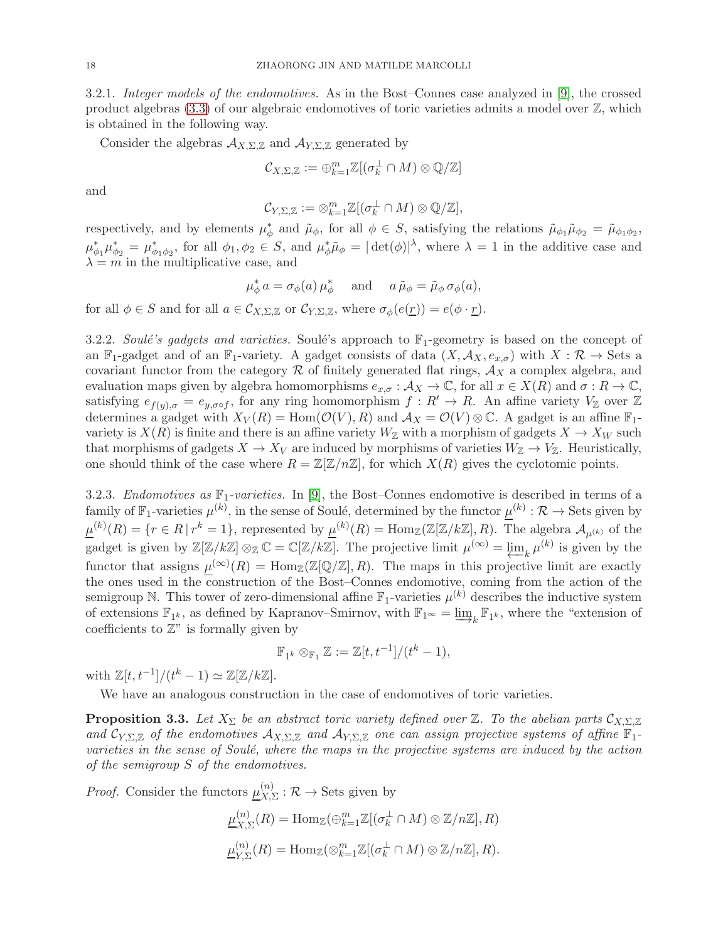3.2.1. Integer models of the endomotives. As in the Bost–Connes case analyzed in [\[9\]](#page-27-6), the crossed product algebras  $(3.3)$  of our algebraic endomotives of toric varieties admits a model over  $\mathbb{Z}$ , which is obtained in the following way.

Consider the algebras  $A_{X,\Sigma,\mathbb{Z}}$  and  $A_{Y,\Sigma,\mathbb{Z}}$  generated by

$$
\mathcal{C}_{X,\Sigma,\mathbb{Z}}:=\oplus_{k=1}^m\mathbb{Z}[(\sigma_k^\perp\cap M)\otimes\mathbb{Q}/\mathbb{Z}]
$$

and

$$
\mathcal{C}_{Y,\Sigma,\mathbb{Z}}:=\otimes_{k=1}^m\mathbb{Z}[(\sigma_k^{\perp}\cap M)\otimes\mathbb{Q}/\mathbb{Z}],
$$

respectively, and by elements  $\mu_{\phi}^*$  and  $\tilde{\mu}_{\phi}$ , for all  $\phi \in S$ , satisfying the relations  $\tilde{\mu}_{\phi_1}\tilde{\mu}_{\phi_2} = \tilde{\mu}_{\phi_1\phi_2}$ ,  $\mu^*_{\phi_1}\mu^*_{\phi_2} = \mu^*_{\phi_1\phi_2}$ , for all  $\phi_1, \phi_2 \in S$ , and  $\mu^*_{\phi}\tilde{\mu}_{\phi} = |\det(\phi)|^{\lambda}$ , where  $\lambda = 1$  in the additive case and  $\lambda = m$  in the multiplicative case, and

$$
\mu_{\phi}^* a = \sigma_{\phi}(a) \mu_{\phi}^*
$$
 and  $a \tilde{\mu}_{\phi} = \tilde{\mu}_{\phi} \sigma_{\phi}(a),$ 

for all  $\phi \in S$  and for all  $a \in \mathcal{C}_{X,\Sigma,\mathbb{Z}}$  or  $\mathcal{C}_{Y,\Sigma,\mathbb{Z}}$ , where  $\sigma_{\phi}(e(\underline{r})) = e(\phi \cdot \underline{r})$ .

3.2.2. Soulé's gadgets and varieties. Soulé's approach to  $\mathbb{F}_1$ -geometry is based on the concept of an  $\mathbb{F}_1$ -gadget and of an  $\mathbb{F}_1$ -variety. A gadget consists of data  $(X, \mathcal{A}_X, e_{x,\sigma})$  with  $X : \mathcal{R} \to$  Sets a covariant functor from the category  $\mathcal R$  of finitely generated flat rings,  $\mathcal A_X$  a complex algebra, and evaluation maps given by algebra homomorphisms  $e_{x,\sigma}: \mathcal{A}_X \to \mathbb{C}$ , for all  $x \in X(R)$  and  $\sigma: R \to \mathbb{C}$ , satisfying  $e_{f(y),\sigma} = e_{y,\sigma \circ f}$ , for any ring homomorphism  $f: R' \to R$ . An affine variety  $V_{\mathbb{Z}}$  over  $\mathbb{Z}$ determines a gadget with  $X_V(R) = \text{Hom}(\mathcal{O}(V), R)$  and  $\mathcal{A}_X = \mathcal{O}(V) \otimes \mathbb{C}$ . A gadget is an affine  $\mathbb{F}_1$ variety is  $X(R)$  is finite and there is an affine variety  $W_{\mathbb{Z}}$  with a morphism of gadgets  $X \to X_W$  such that morphisms of gadgets  $X \to X_V$  are induced by morphisms of varieties  $W_{\mathbb{Z}} \to V_{\mathbb{Z}}$ . Heuristically, one should think of the case where  $R = \mathbb{Z}[\mathbb{Z}/n\mathbb{Z}]$ , for which  $X(R)$  gives the cyclotomic points.

3.2.3. Endomotives as  $\mathbb{F}_1$ -varieties. In [\[9\]](#page-27-6), the Bost–Connes endomotive is described in terms of a family of  $\mathbb{F}_1$ -varieties  $\mu^{(k)}$ , in the sense of Soulé, determined by the functor  $\underline{\mu}^{(k)} : \mathcal{R} \to \text{Sets}$  given by  $\underline{\mu}^{(k)}(R) = \{r \in R \mid r^k = 1\}$ , represented by  $\underline{\mu}^{(k)}(R) = \text{Hom}_{\mathbb{Z}}(\mathbb{Z}[\mathbb{Z}/k\mathbb{Z}], R)$ . The algebra  $\mathcal{A}_{\mu^{(k)}}$  of the gadget is given by  $\mathbb{Z}[\mathbb{Z}/k\mathbb{Z}] \otimes_{\mathbb{Z}} \mathbb{C} = \mathbb{C}[\mathbb{Z}/k\mathbb{Z}]$ . The projective limit  $\mu^{(\infty)} = \varprojlim_k \mu^{(k)}$  is given by the functor that assigns  $\mu^{(\infty)}(R) = \text{Hom}_{\mathbb{Z}}(\mathbb{Z}[\mathbb{Q}/\mathbb{Z}], R)$ . The maps in this projective limit are exactly the ones used in the construction of the Bost–Connes endomotive, coming from the action of the semigroup N. This tower of zero-dimensional affine  $\mathbb{F}_1$ -varieties  $\mu^{(k)}$  describes the inductive system of extensions  $\mathbb{F}_{1^k}$ , as defined by Kapranov–Smirnov, with  $\mathbb{F}_{1^\infty} = \varinjlim_k \mathbb{F}_{1^k}$ , where the "extension of coefficients to  $\mathbb{Z}^n$  is formally given by coefficients to  $\mathbb{Z}^n$  is formally given by

$$
\mathbb{F}_{1^k} \otimes_{\mathbb{F}_1} \mathbb{Z} := \mathbb{Z}[t, t^{-1}]/(t^k - 1),
$$

with  $\mathbb{Z}[t, t^{-1}]/(t^k - 1) \simeq \mathbb{Z}[\mathbb{Z}/k\mathbb{Z}].$ 

We have an analogous construction in the case of endomotives of toric varieties.

**Proposition 3.3.** Let  $X_{\Sigma}$  be an abstract toric variety defined over  $\mathbb{Z}$ . To the abelian parts  $\mathcal{C}_{X,\Sigma,\mathbb{Z}}$ and  $\mathcal{C}_{Y,\Sigma,\mathbb{Z}}$  of the endomotives  $\mathcal{A}_{X,\Sigma,\mathbb{Z}}$  and  $\mathcal{A}_{Y,\Sigma,\mathbb{Z}}$  one can assign projective systems of affine  $\mathbb{F}_1$ varieties in the sense of Soulé, where the maps in the projective systems are induced by the action of the semigroup S of the endomotives.

*Proof.* Consider the functors  $\mu_{X}^{(n)}$  $X_{, \Sigma}^{(n)} : \mathcal{R} \to \text{Sets}$  given by  $\mu^{(n)}_{\mathbf{y}},$  $X_{,X,\Sigma}^{(n)}(R) = \text{Hom}_{\mathbb{Z}}(\bigoplus_{k=1}^{m} \mathbb{Z}[(\sigma_k^{\perp} \cap M) \otimes \mathbb{Z}/n\mathbb{Z}], R)$  $\mu^{(n)}_{\mathbf{v}}$  $\mathcal{L}_{Y,\Sigma}^{(n)}(R) = \text{Hom}_{\mathbb{Z}}(\otimes_{k=1}^{m} \mathbb{Z}[(\sigma_k^{\perp} \cap M) \otimes \mathbb{Z}/n\mathbb{Z}], R).$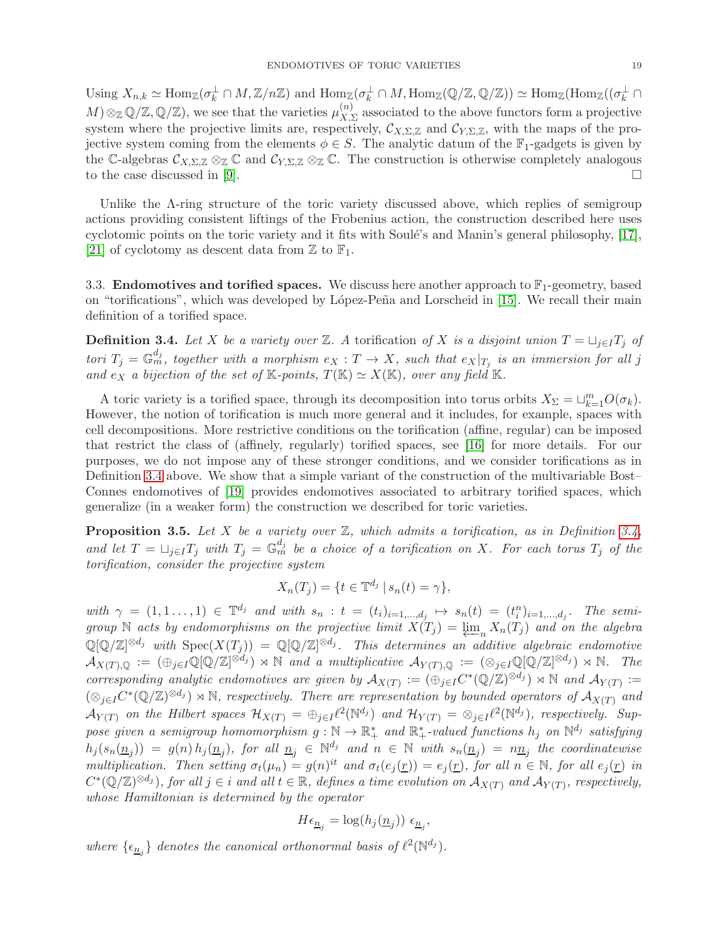Using  $X_{n,k} \simeq \text{Hom}_{\mathbb{Z}}(\sigma_k^{\perp} \cap M, \mathbb{Z}/n\mathbb{Z})$  and  $\text{Hom}_{\mathbb{Z}}(\sigma_k^{\perp} \cap M, \text{Hom}_{\mathbb{Z}}(\mathbb{Q}/\mathbb{Z}, \mathbb{Q}/\mathbb{Z})) \simeq \text{Hom}_{\mathbb{Z}}(\text{Hom}_{\mathbb{Z}}((\sigma_k^{\perp} \cap M, \mathbb{Z}/n\mathbb{Z}))$  $M) \otimes_{\mathbb{Z}} \mathbb{Q}/\mathbb{Z}, \mathbb{Q}/\mathbb{Z}$ , we see that the varieties  $\mu_{X,Y}^{(n)}$  $X$ <sub>, $\Sigma$ </sub> associated to the above functors form a projective system where the projective limits are, respectively,  $\mathcal{C}_{X,\Sigma,\mathbb{Z}}$  and  $\mathcal{C}_{Y,\Sigma,\mathbb{Z}}$ , with the maps of the projective system coming from the elements  $\phi \in S$ . The analytic datum of the  $\mathbb{F}_1$ -gadgets is given by the C-algebras  $\mathcal{C}_{X,\Sigma,\mathbb{Z}} \otimes_{\mathbb{Z}} \mathbb{C}$  and  $\mathcal{C}_{Y,\Sigma,\mathbb{Z}} \otimes_{\mathbb{Z}} \mathbb{C}$ . The construction is otherwise completely analogous to the case discussed in [9]. to the case discussed in [\[9\]](#page-27-6).

Unlike the Λ-ring structure of the toric variety discussed above, which replies of semigroup actions providing consistent liftings of the Frobenius action, the construction described here uses cyclotomic points on the toric variety and it fits with Soulé's and Manin's general philosophy, [\[17\]](#page-28-1), [\[21\]](#page-28-3) of cyclotomy as descent data from  $\mathbb Z$  to  $\mathbb F_1$ .

<span id="page-18-0"></span>3.3. **Endomotives and torified spaces.** We discuss here another approach to  $\mathbb{F}_1$ -geometry, based on "torifications", which was developed by López-Peña and Lorscheid in [\[15\]](#page-28-4). We recall their main definition of a torified space.

<span id="page-18-1"></span>**Definition 3.4.** Let X be a variety over Z. A torification of X is a disjoint union  $T = \sqcup_{j \in I} T_j$  of tori  $T_j = \mathbb{G}_m^{d_j}$ , together with a morphism  $e_X : T \to X$ , such that  $e_X|_{T_j}$  is an immersion for all j and  $e_X$  a bijection of the set of K-points,  $T(\mathbb{K}) \simeq X(\mathbb{K})$ , over any field K.

A toric variety is a torified space, through its decomposition into torus orbits  $X_{\Sigma} = \sqcup_{k=1}^{m} O(\sigma_k)$ . However, the notion of torification is much more general and it includes, for example, spaces with cell decompositions. More restrictive conditions on the torification (affine, regular) can be imposed that restrict the class of (affinely, regularly) torified spaces, see [\[16\]](#page-28-5) for more details. For our purposes, we do not impose any of these stronger conditions, and we consider torifications as in Definition [3.4](#page-18-1) above. We show that a simple variant of the construction of the multivariable Bost– Connes endomotives of [\[19\]](#page-28-2) provides endomotives associated to arbitrary torified spaces, which generalize (in a weaker form) the construction we described for toric varieties.

**Proposition 3.5.** Let X be a variety over  $\mathbb{Z}$ , which admits a torification, as in Definition [3.4,](#page-18-1) and let  $T = \bigcup_{j \in I} T_j$  with  $T_j = \mathbb{G}_m^{d_j}$  be a choice of a torification on X. For each torus  $T_j$  of the torification, consider the projective system

$$
X_n(T_j) = \{ t \in \mathbb{T}^{d_j} \mid s_n(t) = \gamma \},
$$

with  $\gamma = (1, 1, \ldots, 1) \in \mathbb{T}^{d_j}$  and with  $s_n : t = (t_i)_{i=1,\ldots,d_j} \mapsto s_n(t) = (t_i^n)_{i=1,\ldots,d_j}$ . The semigroup N acts by endomorphisms on the projective limit  $X(T_j) = \lim_{n} X_n(T_j)$  and on the algebra<br>  $\mathbb{C}[\mathbb{C} \setminus \mathbb{Z} \times \mathbb{C} \times \mathbb{C} \times \mathbb{C} \times \mathbb{C} \times \mathbb{C} \times \mathbb{C} \times \mathbb{C} \times \mathbb{C} \times \mathbb{C} \times \mathbb{C} \times \mathbb{C} \times \mathbb{C} \times \mathbb{C} \times \$  $\mathbb{Q}[\mathbb{Q}/\mathbb{Z}]^{\otimes d_j}$  with  $\mathrm{Spec}(X(T_j)) = \mathbb{Q}[\mathbb{Q}/\mathbb{Z}]^{\otimes d_j}$ . This determines an additive algebraic endomotive  $\mathcal{A}_{X(T),\mathbb{Q}} := (\bigoplus_{j\in I} \mathbb{Q}[\mathbb{Q}/\mathbb{Z}]^{\otimes d_j}) \rtimes \mathbb{N}$  and a multiplicative  $\mathcal{A}_{Y(T),\mathbb{Q}} := (\otimes_{j\in I} \mathbb{Q}[\mathbb{Q}/\mathbb{Z}]^{\otimes d_j}) \rtimes \mathbb{N}$ . The corresponding analytic endomotives are given by  $A_{X(T)} := (\bigoplus_{j \in I} C^* (\mathbb{Q}/\mathbb{Z})^{\otimes d_j}) \rtimes \mathbb{N}$  and  $A_{Y(T)} :=$  $(\otimes_{j\in I} C^*(\mathbb{Q}/\mathbb{Z})^{\otimes d_j}) \rtimes \mathbb{N}$ , respectively. There are representation by bounded operators of  $\mathcal{A}_{X(T)}$  and  $\mathcal{A}_{Y(T)}$  on the Hilbert spaces  $\mathcal{H}_{X(T)} = \bigoplus_{j\in I} \ell^2(\mathbb{N}^{d_j})$  and  $\mathcal{H}_{Y(T)} = \otimes_{j\in I} \ell^2(\mathbb{N}^{d_j})$ , respectively. Suppose given a semigroup homomorphism  $g: \mathbb{N} \to \mathbb{R}_+^*$  and  $\mathbb{R}_+^*$ -valued functions  $h_j$  on  $\mathbb{N}^{d_j}$  satisfying  $h_j(s_n(\underline{n}_j)) = g(n) h_j(\underline{n}_j)$ , for all  $\underline{n}_j \in \mathbb{N}^{d_j}$  and  $n \in \mathbb{N}$  with  $s_n(\underline{n}_j) = n\underline{n}_j$  the coordinatewise multiplication. Then setting  $\sigma_t(\mu_n) = g(n)^{it}$  and  $\sigma_t(e_j(\underline{r})) = e_j(\underline{r})$ , for all  $n \in \mathbb{N}$ , for all  $e_j(\underline{r})$  in  $C^*(\mathbb{Q}/\mathbb{Z})^{\otimes d_j}$ , for all  $j \in i$  and all  $t \in \mathbb{R}$ , defines a time evolution on  $\mathcal{A}_{X(T)}$  and  $\mathcal{A}_{Y(T)}$ , respectively, whose Hamiltonian is determined by the operator

$$
H\epsilon_{\underline{n}_j} = \log(h_j(\underline{n}_j)) \epsilon_{\underline{n}_j},
$$

where  $\{\epsilon_{\underline{n}_j}\}\$  denotes the canonical orthonormal basis of  $\ell^2(\mathbb{N}^{d_j})$ .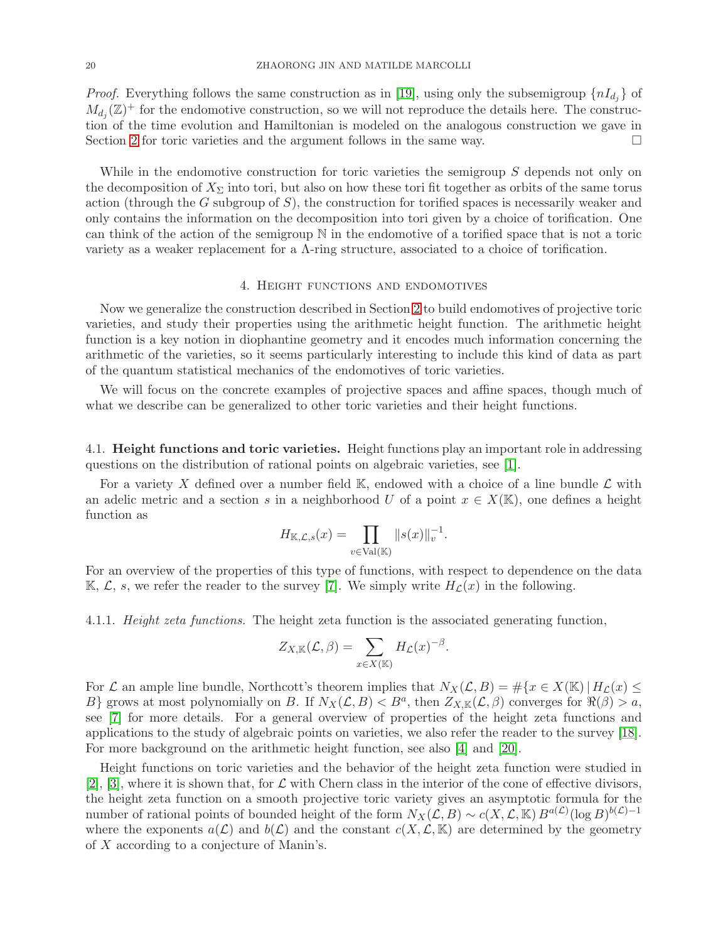*Proof.* Everything follows the same construction as in [\[19\]](#page-28-2), using only the subsemigroup  $\{nI_{d_j}\}$  of  $M_{d_j}(\mathbb{Z})^+$  for the endomotive construction, so we will not reproduce the details here. The construction of the time evolution and Hamiltonian is modeled on the analogous construction we gave in Section [2](#page-4-0) for toric varieties and the argument follows in the same way.

While in the endomotive construction for toric varieties the semigroup S depends not only on the decomposition of  $X_{\Sigma}$  into tori, but also on how these tori fit together as orbits of the same torus action (through the G subgroup of  $S$ ), the construction for torified spaces is necessarily weaker and only contains the information on the decomposition into tori given by a choice of torification. One can think of the action of the semigroup N in the endomotive of a torified space that is not a toric variety as a weaker replacement for a  $\Lambda$ -ring structure, associated to a choice of torification.

### 4. Height functions and endomotives

<span id="page-19-0"></span>Now we generalize the construction described in Section [2](#page-4-0) to build endomotives of projective toric varieties, and study their properties using the arithmetic height function. The arithmetic height function is a key notion in diophantine geometry and it encodes much information concerning the arithmetic of the varieties, so it seems particularly interesting to include this kind of data as part of the quantum statistical mechanics of the endomotives of toric varieties.

We will focus on the concrete examples of projective spaces and affine spaces, though much of what we describe can be generalized to other toric varieties and their height functions.

<span id="page-19-1"></span>4.1. Height functions and toric varieties. Height functions play an important role in addressing questions on the distribution of rational points on algebraic varieties, see [\[1\]](#page-27-10).

For a variety X defined over a number field  $\mathbb{K}$ , endowed with a choice of a line bundle  $\mathcal{L}$  with an adelic metric and a section s in a neighborhood U of a point  $x \in X(\mathbb{K})$ , one defines a height function as

$$
H_{\mathbb{K},\mathcal{L},s}(x) = \prod_{v \in \text{Val}(\mathbb{K})} ||s(x)||_v^{-1}.
$$

For an overview of the properties of this type of functions, with respect to dependence on the data K,  $\mathcal{L}$ , s, we refer the reader to the survey [\[7\]](#page-27-11). We simply write  $H_{\mathcal{L}}(x)$  in the following.

4.1.1. Height zeta functions. The height zeta function is the associated generating function,

$$
Z_{X,\mathbb{K}}(\mathcal{L},\beta)=\sum_{x\in X(\mathbb{K})}H_{\mathcal{L}}(x)^{-\beta}.
$$

For  $\mathcal L$  an ample line bundle, Northcott's theorem implies that  $N_X(\mathcal L, B) = \#\{x \in X(\mathbb K) \mid H_{\mathcal L}(x) \leq$ B} grows at most polynomially on B. If  $N_X(\mathcal{L}, B) < B^a$ , then  $Z_{X,\mathbb{K}}(\mathcal{L}, \beta)$  converges for  $\Re(\beta) > a$ , see [\[7\]](#page-27-11) for more details. For a general overview of properties of the height zeta functions and applications to the study of algebraic points on varieties, we also refer the reader to the survey [\[18\]](#page-28-7). For more background on the arithmetic height function, see also [\[4\]](#page-27-12) and [\[20\]](#page-28-8).

Height functions on toric varieties and the behavior of the height zeta function were studied in [\[2\]](#page-27-13), [\[3\]](#page-27-14), where it is shown that, for  $\mathcal L$  with Chern class in the interior of the cone of effective divisors, the height zeta function on a smooth projective toric variety gives an asymptotic formula for the number of rational points of bounded height of the form  $N_X(\mathcal{L}, B) \sim c(X, \mathcal{L}, \mathbb{K}) B^{a(\mathcal{L})}(\log B)^{b(\mathcal{L})-1}$ where the exponents  $a(\mathcal{L})$  and  $b(\mathcal{L})$  and the constant  $c(X, \mathcal{L}, \mathbb{K})$  are determined by the geometry of X according to a conjecture of Manin's.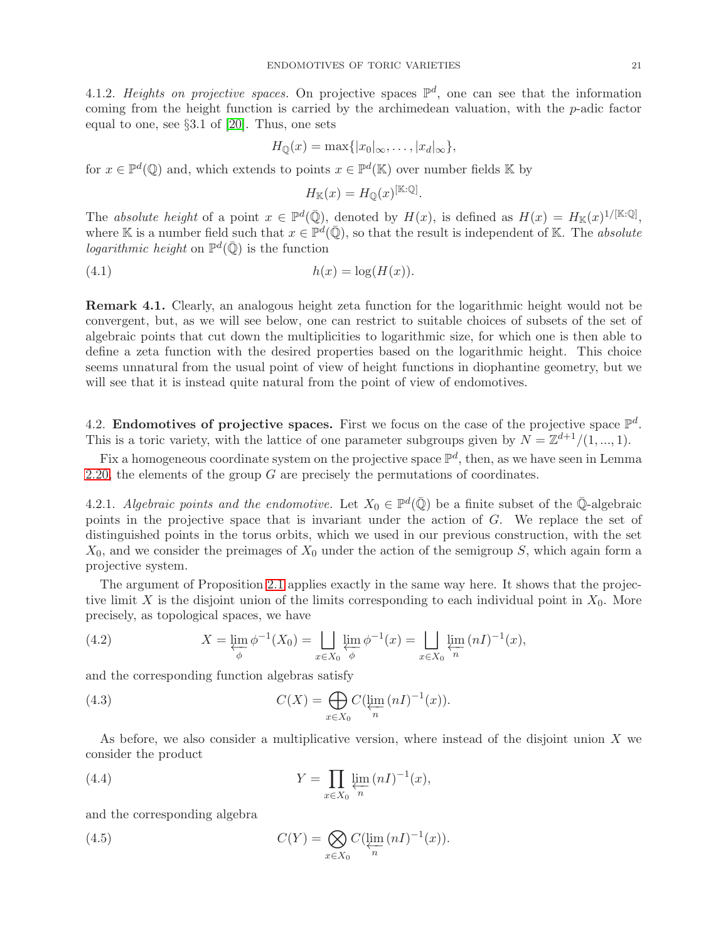4.1.2. Heights on projective spaces. On projective spaces  $\mathbb{P}^d$ , one can see that the information coming from the height function is carried by the archimedean valuation, with the  $p$ -adic factor equal to one, see §3.1 of [\[20\]](#page-28-8). Thus, one sets

$$
H_{\mathbb{Q}}(x) = \max\{|x_0|_{\infty},\ldots,|x_d|_{\infty}\},\
$$

for  $x \in \mathbb{P}^d(\mathbb{Q})$  and, which extends to points  $x \in \mathbb{P}^d(\mathbb{K})$  over number fields  $\mathbb K$  by

$$
H_{\mathbb{K}}(x) = H_{\mathbb{Q}}(x)^{[\mathbb{K}:\mathbb{Q}]}.
$$

The absolute height of a point  $x \in \mathbb{P}^d(\overline{\mathbb{Q}})$ , denoted by  $H(x)$ , is defined as  $H(x) = H_{\mathbb{K}}(x)^{1/[\mathbb{K}:\mathbb{Q}]}$ , where K is a number field such that  $x \in \mathbb{P}^d(\overline{\mathbb{Q}})$ , so that the result is independent of K. The *absolute* logarithmic height on  $\mathbb{P}^d(\overline{\mathbb{Q}})$  is the function

$$
(4.1) \t\t\t\t h(x) = \log(H(x)).
$$

Remark 4.1. Clearly, an analogous height zeta function for the logarithmic height would not be convergent, but, as we will see below, one can restrict to suitable choices of subsets of the set of algebraic points that cut down the multiplicities to logarithmic size, for which one is then able to define a zeta function with the desired properties based on the logarithmic height. This choice seems unnatural from the usual point of view of height functions in diophantine geometry, but we will see that it is instead quite natural from the point of view of endomotives.

<span id="page-20-0"></span>4.2. Endomotives of projective spaces. First we focus on the case of the projective space  $\mathbb{P}^d$ . This is a toric variety, with the lattice of one parameter subgroups given by  $N = \mathbb{Z}^{d+1}/(1, ..., 1)$ .

Fix a homogeneous coordinate system on the projective space  $\mathbb{P}^d$ , then, as we have seen in Lemma [2.20,](#page-15-1) the elements of the group  $G$  are precisely the permutations of coordinates.

4.2.1. Algebraic points and the endomotive. Let  $X_0 \in \mathbb{P}^d(\overline{\mathbb{Q}})$  be a finite subset of the  $\overline{\mathbb{Q}}$ -algebraic points in the projective space that is invariant under the action of G. We replace the set of distinguished points in the torus orbits, which we used in our previous construction, with the set  $X_0$ , and we consider the preimages of  $X_0$  under the action of the semigroup S, which again form a projective system.

The argument of Proposition [2.1](#page-5-1) applies exactly in the same way here. It shows that the projective limit X is the disjoint union of the limits corresponding to each individual point in  $X_0$ . More precisely, as topological spaces, we have

(4.2) 
$$
X = \varprojlim_{\phi} \phi^{-1}(X_0) = \iint_{x \in X_0} \varprojlim_{\phi} \phi^{-1}(x) = \iint_{x \in X_0} \varprojlim_{n} (n!)^{-1}(x),
$$

and the corresponding function algebras satisfy

(4.3) 
$$
C(X) = \bigoplus_{x \in X_0} C(\varprojlim_n (nI)^{-1}(x)).
$$

As before, we also consider a multiplicative version, where instead of the disjoint union  $X$  we consider the product

(4.4) 
$$
Y = \prod_{x \in X_0} \lim_{n} (nI)^{-1}(x),
$$

and the corresponding algebra

(4.5) 
$$
C(Y) = \bigotimes_{x \in X_0} C(\varprojlim_n (nI)^{-1}(x)).
$$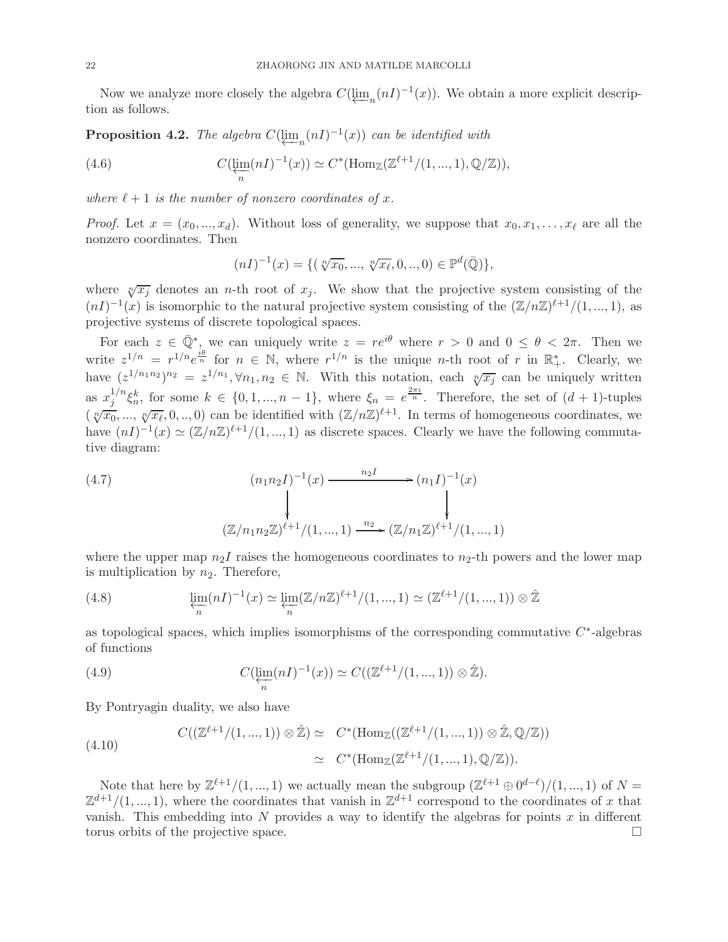Now we analyze more closely the algebra  $C(\underleftarrow{\lim}_{n}(nI)^{-1}(x))$ . We obtain a more explicit descrip-<br>n as follows tion as follows.

<span id="page-21-0"></span>**Proposition 4.2.** The algebra  $C(\underleftarrow{\lim}_{n}(nI)^{-1}(x))$  can be identified with

(4.6) 
$$
C(\varprojlim_{n} (nI)^{-1}(x)) \simeq C^{*}(\text{Hom}_{\mathbb{Z}}(\mathbb{Z}^{\ell+1}/(1,...,1), \mathbb{Q}/\mathbb{Z})),
$$

where  $\ell + 1$  is the number of nonzero coordinates of x.

*Proof.* Let  $x = (x_0, ..., x_d)$ . Without loss of generality, we suppose that  $x_0, x_1, ..., x_\ell$  are all the nonzero coordinates. Then

$$
(nI)^{-1}(x) = \{ (\sqrt[n]{x_0}, \dots, \sqrt[n]{x_\ell}, 0, \dots, 0) \in \mathbb{P}^d(\bar{\mathbb{Q}}) \},
$$

where  $\sqrt[n]{x_j}$  denotes an *n*-th root of  $x_j$ . We show that the projective system consisting of the  $(nI)^{-1}(x)$  is isomorphic to the natural projective system consisting of the  $(\mathbb{Z}/n\mathbb{Z})^{\ell+1}/(1,...,1)$ , as projective systems of discrete topological spaces.

For each  $z \in \overline{\mathbb{Q}}^*$ , we can uniquely write  $z = re^{i\theta}$  where  $r > 0$  and  $0 \le \theta < 2\pi$ . Then we write  $z^{1/n} = r^{1/n} e^{\frac{i\theta}{n}}$  for  $n \in \mathbb{N}$ , where  $r^{1/n}$  is the unique *n*-th root of r in  $\mathbb{R}^*_+$ . Clearly, we have  $(z^{1/n_1n_2})^{n_2} = z^{1/n_1}, \forall n_1, n_2 \in \mathbb{N}$ . With this notation, each  $\sqrt[n]{x_j}$  can be uniquely written as  $x_i^{1/n}$  $j^{1/n} \xi_n^k$ , for some  $k \in \{0, 1, ..., n-1\}$ , where  $\xi_n = e^{\frac{2\pi i}{n}}$ . Therefore, the set of  $(d+1)$ -tuples  $(\sqrt[n]{x_0}, ..., \sqrt[n]{x_\ell}, 0, ..., 0)$  can be identified with  $(\mathbb{Z}/n\mathbb{Z})^{\ell+1}$ . In terms of homogeneous coordinates, we have  $(nI)^{-1}(x) \simeq (\mathbb{Z}/n\mathbb{Z})^{\ell+1}/(1,...,1)$  as discrete spaces. Clearly we have the following commutative diagram:

<span id="page-21-1"></span>(4.7)  
\n
$$
(n_1 n_2 I)^{-1}(x) \longrightarrow (n_1 I)^{-1}(x)
$$
\n
$$
\downarrow
$$
\n
$$
(\mathbb{Z}/n_1 n_2 \mathbb{Z})^{\ell+1}/(1, ..., 1) \longrightarrow (\mathbb{Z}/n_1 \mathbb{Z})^{\ell+1}/(1, ..., 1)
$$

where the upper map  $n_2I$  raises the homogeneous coordinates to  $n_2$ -th powers and the lower map is multiplication by  $n_2$ . Therefore,

(4.8) 
$$
\lim_{n} (nI)^{-1}(x) \simeq \lim_{n} (\mathbb{Z}/n\mathbb{Z})^{\ell+1}/(1, ..., 1) \simeq (\mathbb{Z}^{\ell+1}/(1, ..., 1)) \otimes \hat{\mathbb{Z}}
$$

as topological spaces, which implies isomorphisms of the corresponding commutative  $C^*$ -algebras of functions

(4.9) 
$$
C(\varprojlim_{n} (nI)^{-1}(x)) \simeq C((\mathbb{Z}^{\ell+1}/(1,...,1)) \otimes \mathbb{Z}).
$$

By Pontryagin duality, we also have

(4.10) 
$$
C((\mathbb{Z}^{\ell+1}/(1,...,1)) \otimes \hat{\mathbb{Z}}) \simeq C^*(\text{Hom}_{\mathbb{Z}}((\mathbb{Z}^{\ell+1}/(1,...,1)) \otimes \hat{\mathbb{Z}}, \mathbb{Q}/\mathbb{Z}))
$$

$$
\simeq C^*(\text{Hom}_{\mathbb{Z}}(\mathbb{Z}^{\ell+1}/(1,...,1), \mathbb{Q}/\mathbb{Z})).
$$

Note that here by  $\mathbb{Z}^{\ell+1}/(1,...,1)$  we actually mean the subgroup  $(\mathbb{Z}^{\ell+1} \oplus 0^{d-\ell})/(1,...,1)$  of  $N =$  $\mathbb{Z}^{d+1}/(1,...,1)$ , where the coordinates that vanish in  $\mathbb{Z}^{d+1}$  correspond to the coordinates of x that vanish. This embedding into  $N$  provides a way to identify the algebras for points  $x$  in different torus orbits of the projective space.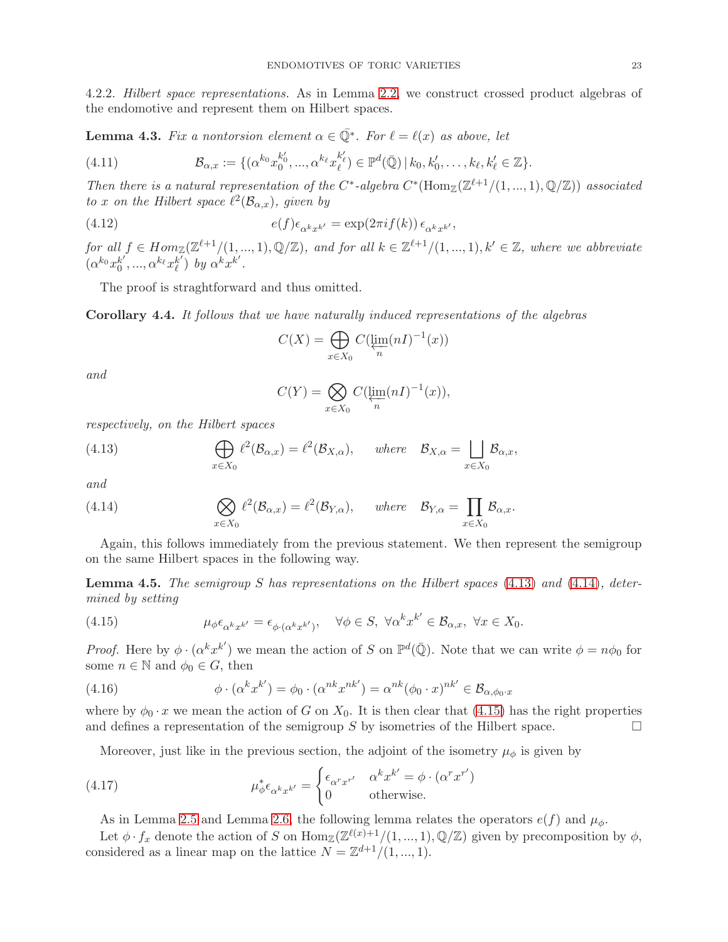4.2.2. Hilbert space representations. As in Lemma [2.2,](#page-7-1) we construct crossed product algebras of the endomotive and represent them on Hilbert spaces.

**Lemma 4.3.** Fix a nontorsion element  $\alpha \in \overline{\mathbb{Q}}^*$ . For  $\ell = \ell(x)$  as above, let

(4.11) 
$$
\mathcal{B}_{\alpha,x} := \{ (\alpha^{k_0} x_0^{k'_0}, ..., \alpha^{k_\ell} x_\ell^{k'_\ell}) \in \mathbb{P}^d(\bar{\mathbb{Q}}) \, | \, k_0, k'_0, \dots, k_\ell, k'_\ell \in \mathbb{Z} \}.
$$

Then there is a natural representation of the C<sup>\*</sup>-algebra  $C^*(\text{Hom}_{\mathbb{Z}}(\mathbb{Z}^{\ell+1}/(1,...,1),\mathbb{Q}/\mathbb{Z}))$  associated to x on the Hilbert space  $\ell^2(\mathcal{B}_{\alpha,x})$ , given by

(4.12) 
$$
e(f)\epsilon_{\alpha^k x^{k'}} = \exp(2\pi i f(k)) \epsilon_{\alpha^k x^{k'}},
$$

for all  $f \in Hom_{\mathbb{Z}}(\mathbb{Z}^{\ell+1}/(1,...,1), \mathbb{Q}/\mathbb{Z})$ , and for all  $k \in \mathbb{Z}^{\ell+1}/(1,...,1), k' \in \mathbb{Z}$ , where we abbreviate  $(\alpha^{k_0}x_0^{k'})$  $\overline{\alpha}^{k^{\prime}},...,\alpha^{k_{\ell}}x_{\ell}^{k^{\prime}}$  $\left(\begin{matrix} k' \\ \ell \end{matrix}\right)$  by  $\alpha^k x^{k'}$ .

The proof is straghtforward and thus omitted.

Corollary 4.4. It follows that we have naturally induced representations of the algebras

$$
C(X) = \bigoplus_{x \in X_0} C(\varprojlim_n (nI)^{-1}(x))
$$

and

<span id="page-22-0"></span>
$$
C(Y) = \bigotimes_{x \in X_0} C(\varprojlim_n (nI)^{-1}(x)),
$$

respectively, on the Hilbert spaces

(4.13) 
$$
\bigoplus_{x \in X_0} \ell^2(\mathcal{B}_{\alpha,x}) = \ell^2(\mathcal{B}_{X,\alpha}), \quad \text{where} \quad \mathcal{B}_{X,\alpha} = \bigsqcup_{x \in X_0} \mathcal{B}_{\alpha,x},
$$

and

<span id="page-22-1"></span>(4.14) 
$$
\bigotimes_{x \in X_0} \ell^2(\mathcal{B}_{\alpha,x}) = \ell^2(\mathcal{B}_{Y,\alpha}), \quad \text{where} \quad \mathcal{B}_{Y,\alpha} = \prod_{x \in X_0} \mathcal{B}_{\alpha,x}.
$$

Again, this follows immediately from the previous statement. We then represent the semigroup on the same Hilbert spaces in the following way.

**Lemma 4.5.** The semigroup S has representations on the Hilbert spaces [\(4.13\)](#page-22-0) and [\(4.14\)](#page-22-1), determined by setting

<span id="page-22-2"></span>(4.15) 
$$
\mu_{\phi} \epsilon_{\alpha^k x^{k'}} = \epsilon_{\phi \cdot (\alpha^k x^{k'})}, \quad \forall \phi \in S, \ \forall \alpha^k x^{k'} \in \mathcal{B}_{\alpha, x}, \ \forall x \in X_0.
$$

*Proof.* Here by  $\phi \cdot (\alpha^k x^{k'})$  we mean the action of S on  $\mathbb{P}^d(\overline{\mathbb{Q}})$ . Note that we can write  $\phi = n\phi_0$  for some  $n \in \mathbb{N}$  and  $\phi_0 \in G$ , then

(4.16) 
$$
\phi \cdot (\alpha^k x^{k'}) = \phi_0 \cdot (\alpha^{nk} x^{nk'}) = \alpha^{nk} (\phi_0 \cdot x)^{nk'} \in \mathcal{B}_{\alpha, \phi_0 \cdot x}
$$

where by  $\phi_0 \cdot x$  we mean the action of G on  $X_0$ . It is then clear that [\(4.15\)](#page-22-2) has the right properties and defines a representation of the semigroup S by isometries of the Hilbert space. and defines a representation of the semigroup S by isometries of the Hilbert space.

Moreover, just like in the previous section, the adjoint of the isometry  $\mu_{\phi}$  is given by

(4.17) 
$$
\mu_{\phi}^* \epsilon_{\alpha^k x^{k'}} = \begin{cases} \epsilon_{\alpha^r x^{r'}} & \alpha^k x^{k'} = \phi \cdot (\alpha^r x^{r'})\\ 0 & \text{otherwise.} \end{cases}
$$

As in Lemma [2.5](#page-8-0) and Lemma [2.6,](#page-9-0) the following lemma relates the operators  $e(f)$  and  $\mu_{\phi}$ .

Let  $\phi \cdot f_x$  denote the action of S on  $\text{Hom}_{\mathbb{Z}}(\mathbb{Z}^{\ell(x)+1}/(1,...,1), \mathbb{Q}/\mathbb{Z})$  given by precomposition by  $\phi$ , considered as a linear map on the lattice  $N = \mathbb{Z}^{d+1}/(1, ..., 1)$ .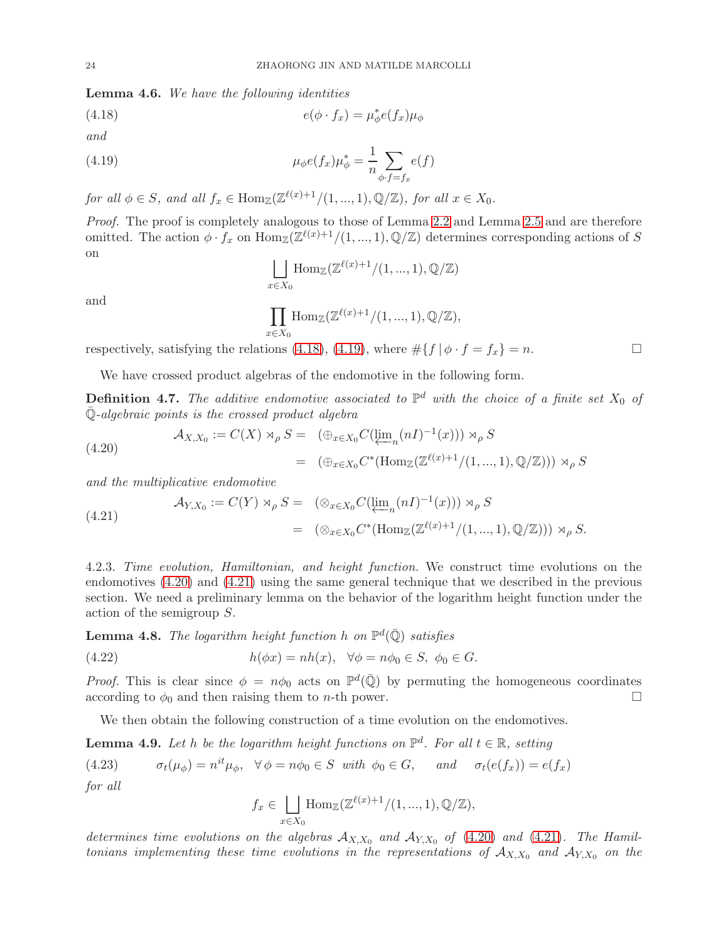<span id="page-23-7"></span>Lemma 4.6. We have the following identities

(4.18) 
$$
e(\phi \cdot f_x) = \mu_{\phi}^* e(f_x) \mu_{\phi}
$$

and

(4.19) 
$$
\mu_{\phi}e(f_x)\mu_{\phi}^* = \frac{1}{n} \sum_{\phi \cdot f = f_x} e(f)
$$

for all  $\phi \in S$ , and all  $f_x \in \text{Hom}_{\mathbb{Z}}(\mathbb{Z}^{\ell(x)+1}/(1,...,1), \mathbb{Q}/\mathbb{Z})$ , for all  $x \in X_0$ .

Proof. The proof is completely analogous to those of Lemma [2.2](#page-7-1) and Lemma [2.5](#page-8-0) and are therefore omitted. The action  $\phi \cdot f_x$  on  $\text{Hom}_{\mathbb{Z}}(\mathbb{Z}^{\ell(x)+1}/(1,...,1), \mathbb{Q}/\mathbb{Z})$  determines corresponding actions of S on

<span id="page-23-1"></span><span id="page-23-0"></span>
$$
\bigsqcup_{x \in X_0} \text{Hom}_{\mathbb{Z}}(\mathbb{Z}^{\ell(x)+1}/(1,...,1), \mathbb{Q}/\mathbb{Z})
$$

and

$$
\prod_{x \in X_0} \text{Hom}_{\mathbb{Z}}(\mathbb{Z}^{\ell(x)+1}/(1,...,1), \mathbb{Q}/\mathbb{Z}),
$$

respectively, satisfying the relations [\(4.18\)](#page-23-0), [\(4.19\)](#page-23-1), where  $\#\{f | \phi \cdot f = f_x\} = n$ .

We have crossed product algebras of the endomotive in the following form.

**Definition 4.7.** The additive endomotive associated to  $\mathbb{P}^d$  with the choice of a finite set  $X_0$  of  $\overline{\mathbb{Q}}$ -algebraic points is the crossed product algebra

<span id="page-23-2"></span>(4.20)  
\n
$$
\mathcal{A}_{X,X_0} := C(X) \rtimes_{\rho} S = (\bigoplus_{x \in X_0} C(\varprojlim_n (nI)^{-1}(x))) \rtimes_{\rho} S
$$
\n
$$
= (\bigoplus_{x \in X_0} C^*(\text{Hom}_{\mathbb{Z}}(\mathbb{Z}^{\ell(x)+1}/(1,...,1), \mathbb{Q}/\mathbb{Z}))) \rtimes_{\rho} S
$$

and the multiplicative endomotive

<span id="page-23-3"></span>(4.21) 
$$
\mathcal{A}_{Y,X_0} := C(Y) \rtimes_{\rho} S = (\otimes_{x \in X_0} C(\underleftarrow{\lim}_{n} (nI)^{-1}(x))) \rtimes_{\rho} S
$$

$$
= (\otimes_{x \in X_0} C^*(\text{Hom}_{\mathbb{Z}}(\mathbb{Z}^{\ell(x)+1}/(1,...,1), \mathbb{Q}/\mathbb{Z}))) \rtimes_{\rho} S.
$$

4.2.3. Time evolution, Hamiltonian, and height function. We construct time evolutions on the endomotives [\(4.20\)](#page-23-2) and [\(4.21\)](#page-23-3) using the same general technique that we described in the previous section. We need a preliminary lemma on the behavior of the logarithm height function under the action of the semigroup S.

<span id="page-23-4"></span>**Lemma 4.8.** The logarithm height function h on  $\mathbb{P}^d(\bar{\mathbb{Q}})$  satisfies

(4.22) 
$$
h(\phi x) = nh(x), \quad \forall \phi = n\phi_0 \in S, \ \phi_0 \in G.
$$

*Proof.* This is clear since  $\phi = n\phi_0$  acts on  $\mathbb{P}^d(\overline{\mathbb{Q}})$  by permuting the homogeneous coordinates according to  $\phi_0$  and then raising them to *n*-th power.

We then obtain the following construction of a time evolution on the endomotives.

<span id="page-23-5"></span>**Lemma 4.9.** Let h be the logarithm height functions on  $\mathbb{P}^d$ . For all  $t \in \mathbb{R}$ , setting

(4.23)  $\sigma_t(\mu_{\phi}) = n^{it}\mu_{\phi}, \quad \forall \phi = n\phi_0 \in S \text{ with } \phi_0 \in G, \quad \text{and } \quad \sigma_t(e(f_x)) = e(f_x)$ for all

<span id="page-23-6"></span>
$$
f_x \in \bigsqcup_{x \in X_0} \text{Hom}_{\mathbb{Z}}(\mathbb{Z}^{\ell(x)+1}/(1,...,1), \mathbb{Q}/\mathbb{Z}),
$$

determines time evolutions on the algebras  $A_{X,X_0}$  and  $A_{Y,X_0}$  of [\(4.20\)](#page-23-2) and [\(4.21\)](#page-23-3). The Hamiltonians implementing these time evolutions in the representations of  $A_{X,X_0}$  and  $A_{Y,X_0}$  on the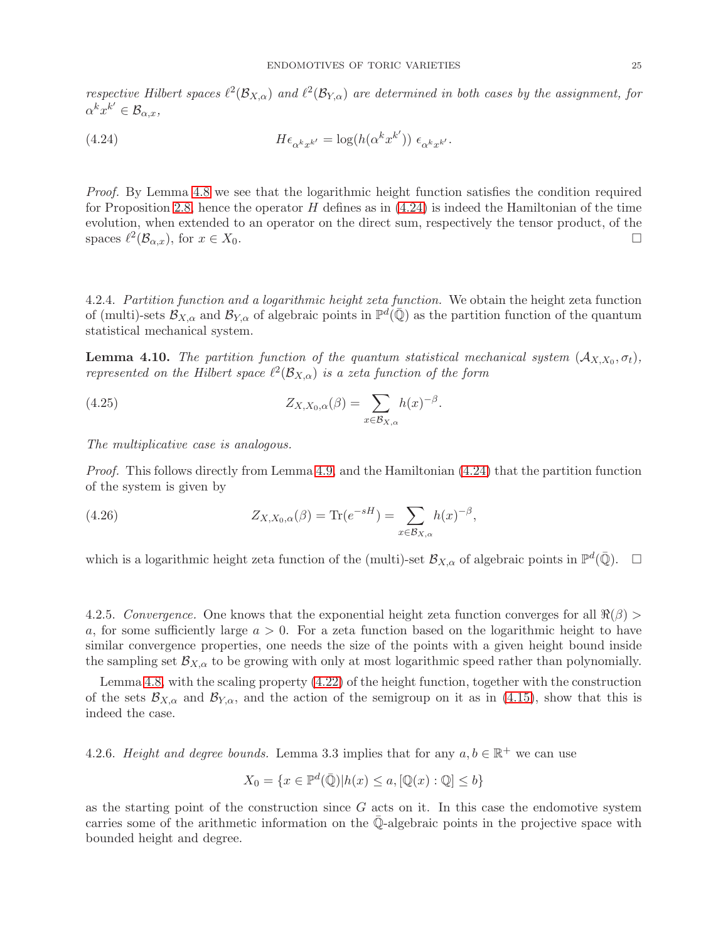respective Hilbert spaces  $\ell^2(\mathcal{B}_{X,\alpha})$  and  $\ell^2(\mathcal{B}_{Y,\alpha})$  are determined in both cases by the assignment, for  $\alpha^k x^{k'} \in \mathcal{B}_{\alpha,x},$ 

<span id="page-24-0"></span>(4.24) 
$$
H\epsilon_{\alpha^k x^{k'}} = \log(h(\alpha^k x^{k'})) \epsilon_{\alpha^k x^{k'}}.
$$

Proof. By Lemma [4.8](#page-23-4) we see that the logarithmic height function satisfies the condition required for Proposition [2.8,](#page-10-1) hence the operator  $H$  defines as in  $(4.24)$  is indeed the Hamiltonian of the time evolution, when extended to an operator on the direct sum, respectively the tensor product, of the spaces  $\ell^2(\mathcal{B}_{\alpha,x})$ , for  $x \in X_0$ .

4.2.4. Partition function and a logarithmic height zeta function. We obtain the height zeta function of (multi)-sets  $\mathcal{B}_{X,\alpha}$  and  $\mathcal{B}_{Y,\alpha}$  of algebraic points in  $\mathbb{P}^d(\overline{\mathbb{Q}})$  as the partition function of the quantum statistical mechanical system.

**Lemma 4.10.** The partition function of the quantum statistical mechanical system  $(A_{X,X_0}, \sigma_t)$ , represented on the Hilbert space  $\ell^2(\mathcal{B}_{X,\alpha})$  is a zeta function of the form

(4.25) 
$$
Z_{X,X_0,\alpha}(\beta) = \sum_{x \in \mathcal{B}_{X,\alpha}} h(x)^{-\beta}.
$$

The multiplicative case is analogous.

Proof. This follows directly from Lemma [4.9,](#page-23-5) and the Hamiltonian [\(4.24\)](#page-24-0) that the partition function of the system is given by

(4.26) 
$$
Z_{X,X_0,\alpha}(\beta) = \text{Tr}(e^{-sH}) = \sum_{x \in \mathcal{B}_{X,\alpha}} h(x)^{-\beta},
$$

which is a logarithmic height zeta function of the (multi)-set  $\mathcal{B}_{X,\alpha}$  of algebraic points in  $\mathbb{P}^d(\overline{\mathbb{Q}})$ .  $\Box$ 

4.2.5. Convergence. One knows that the exponential height zeta function converges for all  $\Re(\beta)$ a, for some sufficiently large  $a > 0$ . For a zeta function based on the logarithmic height to have similar convergence properties, one needs the size of the points with a given height bound inside the sampling set  $\mathcal{B}_{X,\alpha}$  to be growing with only at most logarithmic speed rather than polynomially.

Lemma [4.8,](#page-23-4) with the scaling property [\(4.22\)](#page-23-6) of the height function, together with the construction of the sets  $\mathcal{B}_{X,\alpha}$  and  $\mathcal{B}_{Y,\alpha}$ , and the action of the semigroup on it as in [\(4.15\)](#page-22-2), show that this is indeed the case.

4.2.6. Height and degree bounds. Lemma 3.3 implies that for any  $a, b \in \mathbb{R}^+$  we can use

$$
X_0 = \{ x \in \mathbb{P}^d(\overline{\mathbb{Q}}) | h(x) \le a, [\mathbb{Q}(x) : \mathbb{Q}] \le b \}
$$

as the starting point of the construction since  $G$  acts on it. In this case the endomotive system carries some of the arithmetic information on the  $\overline{Q}$ -algebraic points in the projective space with bounded height and degree.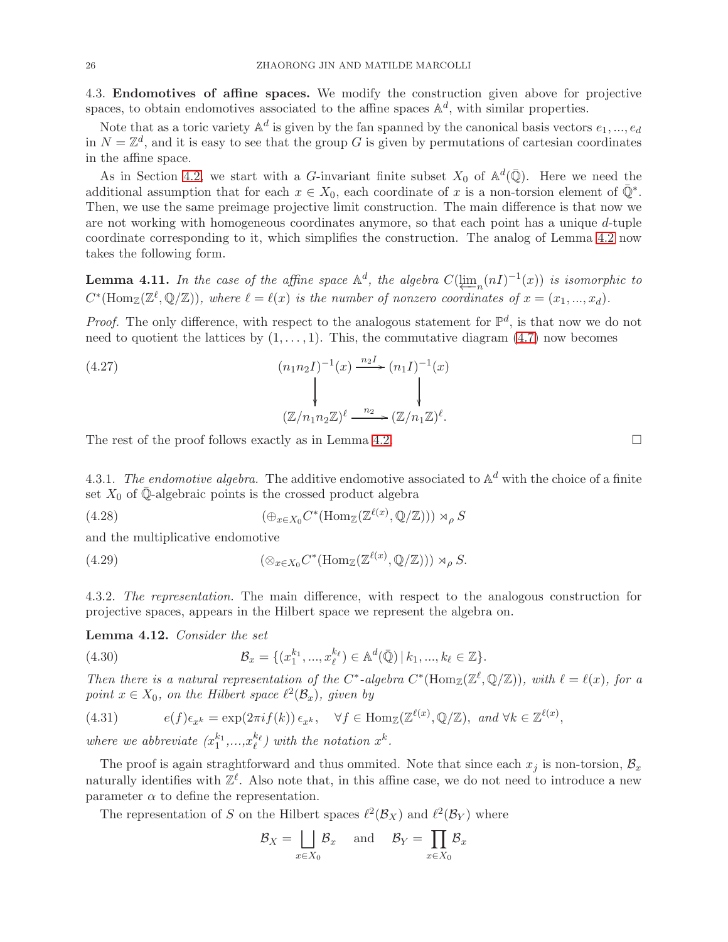<span id="page-25-0"></span>4.3. Endomotives of affine spaces. We modify the construction given above for projective spaces, to obtain endomotives associated to the affine spaces  $\mathbb{A}^d$ , with similar properties.

Note that as a toric variety  $\mathbb{A}^d$  is given by the fan spanned by the canonical basis vectors  $e_1, ..., e_d$ in  $N = \mathbb{Z}^d$ , and it is easy to see that the group G is given by permutations of cartesian coordinates in the affine space.

As in Section [4.2,](#page-20-0) we start with a G-invariant finite subset  $X_0$  of  $\mathbb{A}^d(\overline{\mathbb{Q}})$ . Here we need the additional assumption that for each  $x \in X_0$ , each coordinate of x is a non-torsion element of  $\overline{\mathbb{Q}}^*$ . Then, we use the same preimage projective limit construction. The main difference is that now we are not working with homogeneous coordinates anymore, so that each point has a unique d-tuple coordinate corresponding to it, which simplifies the construction. The analog of Lemma [4.2](#page-21-0) now takes the following form.

**Lemma 4.11.** In the case of the affine space  $\mathbb{A}^d$ , the algebra  $C(\underleftarrow{\lim}_{n}(nI)^{-1}(x))$  is isomorphic to  $C^*(\text{Hom }(\mathbb{Z}^d, \mathbb{Z}^d))$ , where  $\ell = \ell(\infty)$  is the number of nonzero escapingtos of  $x = (x - x)$ .  $C^*(\text{Hom}_{\mathbb{Z}}(\mathbb{Z}^{\ell},\mathbb{Q}/\mathbb{Z}))$ , where  $\ell = \ell(x)$  is the number of nonzero coordinates of  $x = (x_1, ..., x_d)$ .

*Proof.* The only difference, with respect to the analogous statement for  $\mathbb{P}^d$ , is that now we do not need to quotient the lattices by  $(1, \ldots, 1)$ . This, the commutative diagram  $(4.7)$  now becomes

(4.27)  
\n
$$
(n_1 n_2 I)^{-1}(x) \xrightarrow{n_2 I} (n_1 I)^{-1}(x)
$$
\n
$$
\downarrow
$$
\n
$$
(\mathbb{Z}/n_1 n_2 \mathbb{Z})^{\ell} \xrightarrow{n_2} (\mathbb{Z}/n_1 \mathbb{Z})^{\ell}.
$$

The rest of the proof follows exactly as in Lemma [4.2.](#page-21-0)  $\Box$ 

4.3.1. The endomotive algebra. The additive endomotive associated to  $\mathbb{A}^d$  with the choice of a finite set  $X_0$  of Q-algebraic points is the crossed product algebra

(4.28) 
$$
(\bigoplus_{x \in X_0} C^*(\text{Hom}_{\mathbb{Z}}(\mathbb{Z}^{\ell(x)}, \mathbb{Q}/\mathbb{Z}))) \rtimes_{\rho} S
$$

and the multiplicative endomotive

(4.29) 
$$
(\otimes_{x \in X_0} C^*(\text{Hom}_{\mathbb{Z}}(\mathbb{Z}^{\ell(x)}, \mathbb{Q}/\mathbb{Z}))) \rtimes_{\rho} S.
$$

4.3.2. The representation. The main difference, with respect to the analogous construction for projective spaces, appears in the Hilbert space we represent the algebra on.

Lemma 4.12. Consider the set

(4.30) 
$$
\mathcal{B}_x = \{ (x_1^{k_1}, ..., x_\ell^{k_\ell}) \in \mathbb{A}^d(\bar{\mathbb{Q}}) \, | \, k_1, ..., k_\ell \in \mathbb{Z} \}.
$$

Then there is a natural representation of the C<sup>\*</sup>-algebra  $C^*(\text{Hom}_{\mathbb{Z}}(\mathbb{Z}^{\ell},\mathbb{Q}/\mathbb{Z}))$ , with  $\ell = \ell(x)$ , for a point  $x \in X_0$ , on the Hilbert space  $\ell^2(\mathcal{B}_x)$ , given by

(4.31) 
$$
e(f)\epsilon_{x^k} = \exp(2\pi i f(k))\epsilon_{x^k}, \quad \forall f \in \text{Hom}_{\mathbb{Z}}(\mathbb{Z}^{\ell(x)}, \mathbb{Q}/\mathbb{Z}), \text{ and } \forall k \in \mathbb{Z}^{\ell(x)},
$$

where we abbreviate  $(x_1^{k_1},...,x_\ell^{k_\ell})$  with the notation  $x^k$ .

The proof is again straghtforward and thus ommited. Note that since each  $x_j$  is non-torsion,  $\mathcal{B}_x$ naturally identifies with  $\mathbb{Z}^{\ell}$ . Also note that, in this affine case, we do not need to introduce a new parameter  $\alpha$  to define the representation.

The representation of S on the Hilbert spaces  $\ell^2(\mathcal{B}_X)$  and  $\ell^2(\mathcal{B}_Y)$  where

$$
\mathcal{B}_X = \bigsqcup_{x \in X_0} \mathcal{B}_x \quad \text{and} \quad \mathcal{B}_Y = \prod_{x \in X_0} \mathcal{B}_x
$$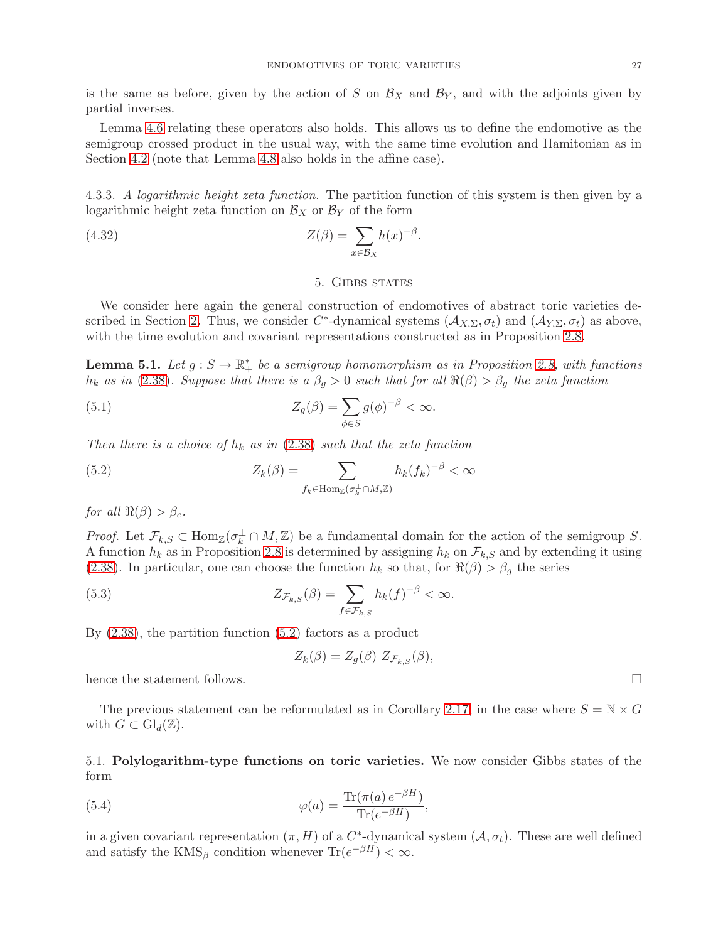is the same as before, given by the action of S on  $\mathcal{B}_X$  and  $\mathcal{B}_Y$ , and with the adjoints given by partial inverses.

Lemma [4.6](#page-23-7) relating these operators also holds. This allows us to define the endomotive as the semigroup crossed product in the usual way, with the same time evolution and Hamitonian as in Section [4.2](#page-20-0) (note that Lemma [4.8](#page-23-4) also holds in the affine case).

4.3.3. A logarithmic height zeta function. The partition function of this system is then given by a logarithmic height zeta function on  $\mathcal{B}_X$  or  $\mathcal{B}_Y$  of the form

<span id="page-26-0"></span>(4.32) 
$$
Z(\beta) = \sum_{x \in \mathcal{B}_X} h(x)^{-\beta}.
$$

### 5. Gibbs states

We consider here again the general construction of endomotives of abstract toric varieties de-scribed in Section [2.](#page-4-0) Thus, we consider  $C^*$ -dynamical systems  $(\mathcal{A}_{X,\Sigma}, \sigma_t)$  and  $(\mathcal{A}_{Y,\Sigma}, \sigma_t)$  as above, with the time evolution and covariant representations constructed as in Proposition [2.8.](#page-10-1)

**Lemma 5.1.** Let  $g : S \to \mathbb{R}_+^*$  be a semigroup homomorphism as in Proposition [2.8,](#page-10-1) with functions  $h_k$  as in [\(2.38\)](#page-10-5). Suppose that there is a  $\beta_q > 0$  such that for all  $\Re(\beta) > \beta_q$  the zeta function

(5.1) 
$$
Z_g(\beta) = \sum_{\phi \in S} g(\phi)^{-\beta} < \infty.
$$

Then there is a choice of  $h_k$  as in [\(2.38\)](#page-10-5) such that the zeta function

<span id="page-26-2"></span>(5.2) 
$$
Z_k(\beta) = \sum_{f_k \in \text{Hom}_{\mathbb{Z}}(\sigma_k^{\perp} \cap M, \mathbb{Z})} h_k(f_k)^{-\beta} < \infty
$$

for all  $\Re(\beta) > \beta_c$ .

*Proof.* Let  $\mathcal{F}_{k,S} \subset \text{Hom}_{\mathbb{Z}}(\sigma_k^{\perp} \cap M,\mathbb{Z})$  be a fundamental domain for the action of the semigroup S. A function  $h_k$  as in Proposition [2.8](#page-10-1) is determined by assigning  $h_k$  on  $\mathcal{F}_{k,S}$  and by extending it using [\(2.38\)](#page-10-5). In particular, one can choose the function  $h_k$  so that, for  $\Re(\beta) > \beta_g$  the series

(5.3) 
$$
Z_{\mathcal{F}_{k,S}}(\beta) = \sum_{f \in \mathcal{F}_{k,S}} h_k(f)^{-\beta} < \infty.
$$

By [\(2.38\)](#page-10-5), the partition function [\(5.2\)](#page-26-2) factors as a product

<span id="page-26-3"></span>
$$
Z_k(\beta) = Z_g(\beta) Z_{\mathcal{F}_{k,S}}(\beta),
$$

hence the statement follows.

The previous statement can be reformulated as in Corollary [2.17,](#page-14-0) in the case where  $S = N \times G$ with  $G \subset \mathrm{Gl}_d(\mathbb{Z})$ .

<span id="page-26-1"></span>5.1. Polylogarithm-type functions on toric varieties. We now consider Gibbs states of the form

(5.4) 
$$
\varphi(a) = \frac{\text{Tr}(\pi(a) e^{-\beta H})}{\text{Tr}(e^{-\beta H})},
$$

in a given covariant representation  $(\pi, H)$  of a  $C^*$ -dynamical system  $(\mathcal{A}, \sigma_t)$ . These are well defined and satisfy the  $\text{KMS}_{\beta}$  condition whenever  $\text{Tr}(e^{-\beta H}) < \infty$ .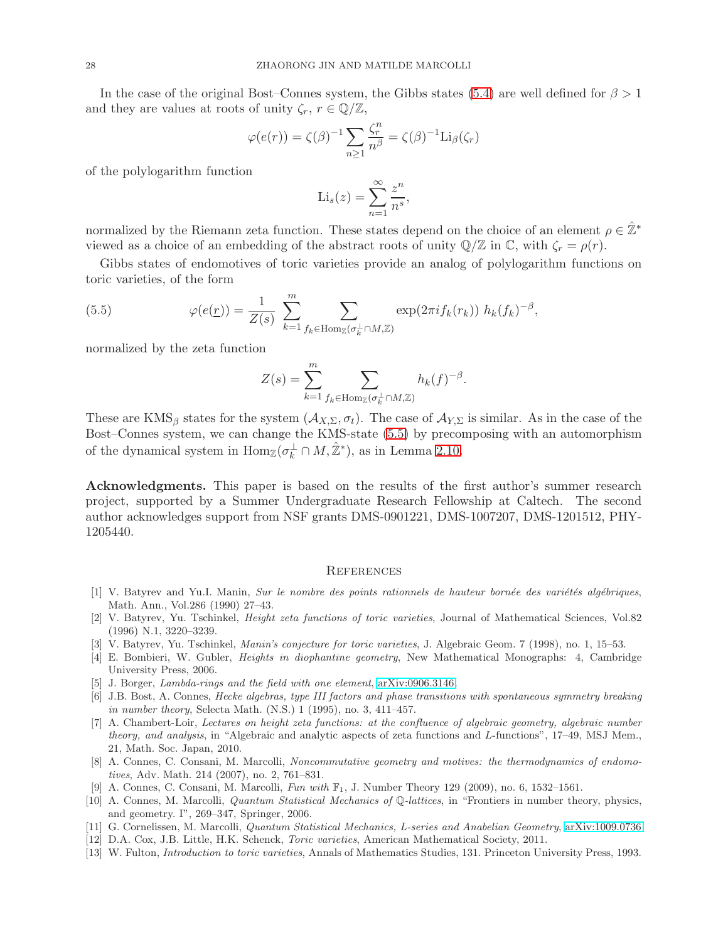In the case of the original Bost–Connes system, the Gibbs states [\(5.4\)](#page-26-3) are well defined for  $\beta > 1$ and they are values at roots of unity  $\zeta_r$ ,  $r \in \mathbb{Q}/\mathbb{Z}$ ,

$$
\varphi(e(r)) = \zeta(\beta)^{-1} \sum_{n \ge 1} \frac{\zeta_r^n}{n^{\beta}} = \zeta(\beta)^{-1} \text{Li}_{\beta}(\zeta_r)
$$

of the polylogarithm function

$$
\mathrm{Li}_s(z) = \sum_{n=1}^{\infty} \frac{z^n}{n^s},
$$

normalized by the Riemann zeta function. These states depend on the choice of an element  $\rho \in \mathbb{Z}^*$ viewed as a choice of an embedding of the abstract roots of unity  $\mathbb{Q}/\mathbb{Z}$  in  $\mathbb{C}$ , with  $\zeta_r = \rho(r)$ .

Gibbs states of endomotives of toric varieties provide an analog of polylogarithm functions on toric varieties, of the form

(5.5) 
$$
\varphi(e(\underline{r})) = \frac{1}{Z(s)} \sum_{k=1}^{m} \sum_{f_k \in \text{Hom}_{\mathbb{Z}}(\sigma_k^{\perp} \cap M, \mathbb{Z})} \exp(2\pi i f_k(r_k)) h_k(f_k)^{-\beta},
$$

normalized by the zeta function

<span id="page-27-15"></span>
$$
Z(s) = \sum_{k=1}^{m} \sum_{f_k \in \text{Hom}_{\mathbb{Z}}(\sigma_k^{\perp} \cap M, \mathbb{Z})} h_k(f)^{-\beta}.
$$

These are KMS<sub>β</sub> states for the system  $(\mathcal{A}_{X,\Sigma}, \sigma_t)$ . The case of  $\mathcal{A}_{Y,\Sigma}$  is similar. As in the case of the Bost–Connes system, we can change the KMS-state [\(5.5\)](#page-27-15) by precomposing with an automorphism of the dynamical system in  $\text{Hom}_{\mathbb{Z}}(\sigma_k^{\perp} \cap M, \hat{\mathbb{Z}}^*)$ , as in Lemma [2.10.](#page-11-4)

<span id="page-27-0"></span>Acknowledgments. This paper is based on the results of the first author's summer research project, supported by a Summer Undergraduate Research Fellowship at Caltech. The second author acknowledges support from NSF grants DMS-0901221, DMS-1007207, DMS-1201512, PHY-1205440.

#### <span id="page-27-1"></span>**REFERENCES**

- <span id="page-27-10"></span> $[1]$  V. Batyrev and Yu.I. Manin, *Sur le nombre des points rationnels de hauteur bornée des variétés algébriques*, Math. Ann., Vol.286 (1990) 27–43.
- <span id="page-27-13"></span>[2] V. Batyrev, Yu. Tschinkel, Height zeta functions of toric varieties, Journal of Mathematical Sciences, Vol.82 (1996) N.1, 3220–3239.
- <span id="page-27-14"></span><span id="page-27-12"></span>[3] V. Batyrev, Yu. Tschinkel, Manin's conjecture for toric varieties, J. Algebraic Geom. 7 (1998), no. 1, 15–53.
- [4] E. Bombieri, W. Gubler, Heights in diophantine geometry, New Mathematical Monographs: 4, Cambridge University Press, 2006.
- <span id="page-27-5"></span><span id="page-27-3"></span>[5] J. Borger, Lambda-rings and the field with one element, [arXiv:0906.3146.](http://arxiv.org/abs/0906.3146)
- [6] J.B. Bost, A. Connes, Hecke algebras, type III factors and phase transitions with spontaneous symmetry breaking in number theory, Selecta Math. (N.S.) 1 (1995), no. 3, 411–457.
- <span id="page-27-11"></span>[7] A. Chambert-Loir, Lectures on height zeta functions: at the confluence of algebraic geometry, algebraic number theory, and analysis, in "Algebraic and analytic aspects of zeta functions and L-functions", 17–49, MSJ Mem., 21, Math. Soc. Japan, 2010.
- <span id="page-27-2"></span>[8] A. Connes, C. Consani, M. Marcolli, Noncommutative geometry and motives: the thermodynamics of endomotives, Adv. Math. 214 (2007), no. 2, 761–831.
- <span id="page-27-9"></span><span id="page-27-6"></span>[9] A. Connes, C. Consani, M. Marcolli, Fun with F1, J. Number Theory 129 (2009), no. 6, 1532–1561.
- [10] A. Connes, M. Marcolli, Quantum Statistical Mechanics of Q-lattices, in "Frontiers in number theory, physics, and geometry. I", 269–347, Springer, 2006.
- <span id="page-27-7"></span><span id="page-27-4"></span>[11] G. Cornelissen, M. Marcolli, Quantum Statistical Mechanics, L-series and Anabelian Geometry, [arXiv:1009.0736](http://arxiv.org/abs/1009.0736)
- <span id="page-27-8"></span>[12] D.A. Cox, J.B. Little, H.K. Schenck, Toric varieties, American Mathematical Society, 2011.
- [13] W. Fulton, Introduction to toric varieties, Annals of Mathematics Studies, 131. Princeton University Press, 1993.